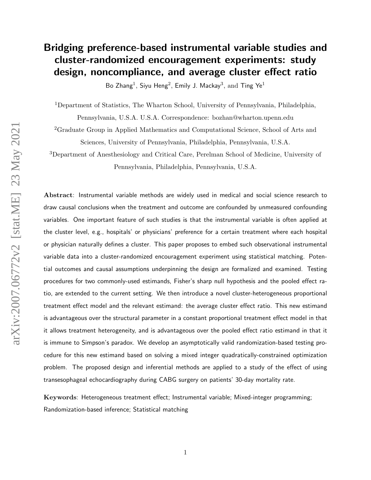# Bridging preference-based instrumental variable studies and cluster-randomized encouragement experiments: study design, noncompliance, and average cluster effect ratio

Bo Zhang<sup>1</sup>, Siyu Heng<sup>2</sup>, Emily J. Mackay<sup>3</sup>, and Ting Ye<sup>1</sup>

<sup>1</sup>Department of Statistics, The Wharton School, University of Pennsylvania, Philadelphia,

Pennsylvania, U.S.A. U.S.A. Correspondence: bozhan@wharton.upenn.edu

<sup>2</sup>Graduate Group in Applied Mathematics and Computational Science, School of Arts and Sciences, University of Pennsylvania, Philadelphia, Pennsylvania, U.S.A.

<sup>3</sup>Department of Anesthesiology and Critical Care, Perelman School of Medicine, University of Pennsylvania, Philadelphia, Pennsylvania, U.S.A.

Abstract: Instrumental variable methods are widely used in medical and social science research to draw causal conclusions when the treatment and outcome are confounded by unmeasured confounding variables. One important feature of such studies is that the instrumental variable is often applied at the cluster level, e.g., hospitals' or physicians' preference for a certain treatment where each hospital or physician naturally defines a cluster. This paper proposes to embed such observational instrumental variable data into a cluster-randomized encouragement experiment using statistical matching. Potential outcomes and causal assumptions underpinning the design are formalized and examined. Testing procedures for two commonly-used estimands, Fisher's sharp null hypothesis and the pooled effect ratio, are extended to the current setting. We then introduce a novel cluster-heterogeneous proportional treatment effect model and the relevant estimand: the average cluster effect ratio. This new estimand is advantageous over the structural parameter in a constant proportional treatment effect model in that it allows treatment heterogeneity, and is advantageous over the pooled effect ratio estimand in that it is immune to Simpson's paradox. We develop an asymptotically valid randomization-based testing procedure for this new estimand based on solving a mixed integer quadratically-constrained optimization problem. The proposed design and inferential methods are applied to a study of the effect of using transesophageal echocardiography during CABG surgery on patients' 30-day mortality rate.

Keywords: Heterogeneous treatment effect; Instrumental variable; Mixed-integer programming; Randomization-based inference; Statistical matching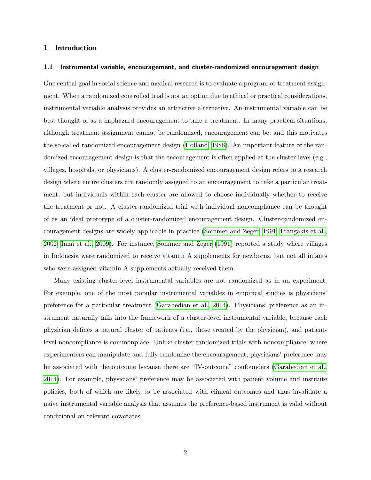## 1 Introduction

#### 1.1 Instrumental variable, encouragement, and cluster-randomized encouragement design

One central goal in social science and medical research is to evaluate a program or treatment assignment. When a randomized controlled trial is not an option due to ethical or practical considerations, instrumental variable analysis provides an attractive alternative. An instrumental variable can be best thought of as a haphazard encouragement to take a treatment. In many practical situations, although treatment assignment cannot be randomized, encouragement can be, and this motivates the so-called randomized encouragement design [\(Holland, 1988\)](#page-22-0). An important feature of the randomized encouragement design is that the encouragement is often applied at the cluster level (e.g., villages, hospitals, or physicians). A cluster-randomized encouragement design refers to a research design where entire clusters are randomly assigned to an encouragement to take a particular treatment, but individuals within each cluster are allowed to choose individually whether to receive the treatment or not. A cluster-randomized trial with individual noncompliance can be thought of as an ideal prototype of a cluster-randomized encouragement design. Cluster-randomized encouragement designs are widely applicable in practice [\(Sommer and Zeger, 1991;](#page-25-0) [Frangakis et al.,](#page-22-1) [2002;](#page-22-1) [Imai et al., 2009\)](#page-23-0). For instance, [Sommer and Zeger](#page-25-0) [\(1991\)](#page-25-0) reported a study where villages in Indonesia were randomized to receive vitamin A supplements for newborns, but not all infants who were assigned vitamin A supplements actually received them.

Many existing cluster-level instrumental variables are not randomized as in an experiment. For example, one of the most popular instrumental variables in empirical studies is physicians' preference for a particular treatment [\(Garabedian et al., 2014\)](#page-22-2). Physicians' preference as an instrument naturally falls into the framework of a cluster-level instrumental variable, because each physician defines a natural cluster of patients (i.e., those treated by the physician), and patientlevel noncompliance is commonplace. Unlike cluster-randomized trials with noncompliance, where experimenters can manipulate and fully randomize the encouragement, physicians' preference may be associated with the outcome because there are "IV-outcome" confounders [\(Garabedian et al.,](#page-22-2) [2014\)](#page-22-2). For example, physicians' preference may be associated with patient volume and institute policies, both of which are likely to be associated with clinical outcomes and thus invalidate a naive instrumental variable analysis that assumes the preference-based instrument is valid without conditional on relevant covariates.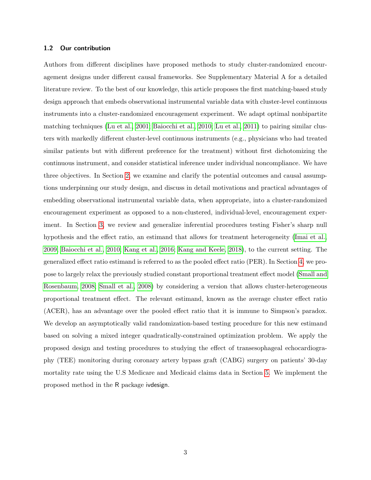## 1.2 Our contribution

Authors from different disciplines have proposed methods to study cluster-randomized encouragement designs under different causal frameworks. See Supplementary Material A for a detailed literature review. To the best of our knowledge, this article proposes the first matching-based study design approach that embeds observational instrumental variable data with cluster-level continuous instruments into a cluster-randomized encouragement experiment. We adapt optimal nonbipartite matching techniques [\(Lu et al., 2001;](#page-24-0) [Baiocchi et al., 2010;](#page-20-0) [Lu et al., 2011\)](#page-23-1) to pairing similar clusters with markedly different cluster-level continuous instruments (e.g., physicians who had treated similar patients but with different preference for the treatment) without first dichotomizing the continuous instrument, and consider statistical inference under individual noncompliance. We have three objectives. In Section [2,](#page-3-0) we examine and clarify the potential outcomes and causal assumptions underpinning our study design, and discuss in detail motivations and practical advantages of embedding observational instrumental variable data, when appropriate, into a cluster-randomized encouragement experiment as opposed to a non-clustered, individual-level, encouragement experiment. In Section [3,](#page-9-0) we review and generalize inferential procedures testing Fisher's sharp null hypothesis and the effect ratio, an estimand that allows for treatment heterogeneity [\(Imai et al.,](#page-23-0) [2009,](#page-23-0) [Baiocchi et al., 2010;](#page-20-0) [Kang et al., 2016;](#page-23-2) [Kang and Keele, 2018\)](#page-23-3), to the current setting. The generalized effect ratio estimand is referred to as the pooled effect ratio (PER). In Section [4,](#page-13-0) we propose to largely relax the previously studied constant proportional treatment effect model [\(Small and](#page-25-1) [Rosenbaum, 2008;](#page-25-1) [Small et al., 2008\)](#page-25-2) by considering a version that allows cluster-heterogeneous proportional treatment effect. The relevant estimand, known as the average cluster effect ratio (ACER), has an advantage over the pooled effect ratio that it is immune to Simpson's paradox. We develop an asymptotically valid randomization-based testing procedure for this new estimand based on solving a mixed integer quadratically-constrained optimization problem. We apply the proposed design and testing procedures to studying the effect of transesophageal echocardiography (TEE) monitoring during coronary artery bypass graft (CABG) surgery on patients' 30-day mortality rate using the U.S Medicare and Medicaid claims data in Section [5.](#page-18-0) We implement the proposed method in the R package ivdesign.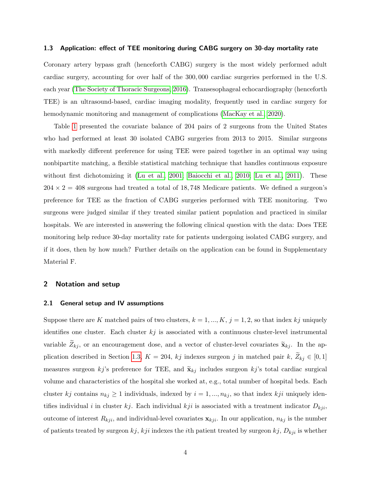## <span id="page-3-1"></span>1.3 Application: effect of TEE monitoring during CABG surgery on 30-day mortality rate

Coronary artery bypass graft (henceforth CABG) surgery is the most widely performed adult cardiac surgery, accounting for over half of the 300, 000 cardiac surgeries performed in the U.S. each year [\(The Society of Thoracic Surgeons, 2016\)](#page-25-3). Transesophageal echocardiography (henceforth TEE) is an ultrasound-based, cardiac imaging modality, frequently used in cardiac surgery for hemodynamic monitoring and management of complications [\(MacKay et al., 2020\)](#page-24-1).

Table [1](#page-4-0) presented the covariate balance of 204 pairs of 2 surgeons from the United States who had performed at least 30 isolated CABG surgeries from 2013 to 2015. Similar surgeons with markedly different preference for using TEE were paired together in an optimal way using nonbipartite matching, a flexible statistical matching technique that handles continuous exposure without first dichotomizing it [\(Lu et al., 2001;](#page-24-0) [Baiocchi et al., 2010;](#page-20-0) [Lu et al., 2011\)](#page-23-1). These  $204 \times 2 = 408$  surgeons had treated a total of 18,748 Medicare patients. We defined a surgeon's preference for TEE as the fraction of CABG surgeries performed with TEE monitoring. Two surgeons were judged similar if they treated similar patient population and practiced in similar hospitals. We are interested in answering the following clinical question with the data: Does TEE monitoring help reduce 30-day mortality rate for patients undergoing isolated CABG surgery, and if it does, then by how much? Further details on the application can be found in Supplementary Material F.

## <span id="page-3-0"></span>2 Notation and setup

#### 2.1 General setup and IV assumptions

Suppose there are K matched pairs of two clusters,  $k = 1, ..., K$ ,  $j = 1, 2$ , so that index kj uniquely identifies one cluster. Each cluster  $kj$  is associated with a continuous cluster-level instrumental variable  $Z_{kj}$ , or an encouragement dose, and a vector of cluster-level covariates  $\tilde{\mathbf{x}}_{kj}$ . In the ap-plication described in Section [1.3,](#page-3-1)  $K = 204$ , kj indexes surgeon j in matched pair k,  $\widetilde{Z}_{kj} \in [0, 1]$ measures surgeon kj's preference for TEE, and  $\tilde{\mathbf{x}}_{kj}$  includes surgeon kj's total cardiac surgical volume and characteristics of the hospital she worked at, e.g., total number of hospital beds. Each cluster kj contains  $n_{kj} \ge 1$  individuals, indexed by  $i = 1, ..., n_{kj}$ , so that index kji uniquely identifies individual i in cluster kj. Each individual kji is associated with a treatment indicator  $D_{kji}$ , outcome of interest  $R_{kji}$ , and individual-level covariates  $\mathbf{x}_{kji}$ . In our application,  $n_{kj}$  is the number of patients treated by surgeon  $kj$ ,  $kji$  indexes the *i*th patient treated by surgeon  $kj$ ,  $D_{kji}$  is whether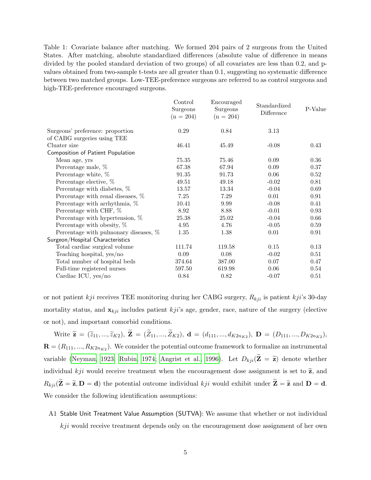<span id="page-4-0"></span>Table 1: Covariate balance after matching. We formed 204 pairs of 2 surgeons from the United States. After matching, absolute standardized differences (absolute value of difference in means divided by the pooled standard deviation of two groups) of all covariates are less than 0.2, and pvalues obtained from two-sample t-tests are all greater than 0.1, suggesting no systematic difference between two matched groups. Low-TEE-preference surgeons are referred to as control surgeons and high-TEE-preference encouraged surgeons.

| Control<br>Surgeons<br>$(n = 204)$ | Encouraged<br>Surgeons<br>$(n = 204)$ | Standardized<br>Difference | P-Value |
|------------------------------------|---------------------------------------|----------------------------|---------|
| 0.29                               | 0.84                                  | 3.13                       |         |
|                                    |                                       |                            |         |
| 46.41                              | 45.49                                 | $-0.08$                    | 0.43    |
|                                    |                                       |                            |         |
| 75.35                              | 75.46                                 | 0.09                       | 0.36    |
| 67.38                              | 67.94                                 | 0.09                       | 0.37    |
| 91.35                              | 91.73                                 | 0.06                       | 0.52    |
| 49.51                              | 49.18                                 | $-0.02$                    | 0.81    |
| 13.57                              | 13.34                                 | $-0.04$                    | 0.69    |
| 7.25                               | 7.29                                  | 0.01                       | 0.91    |
| 10.41                              | 9.99                                  | $-0.08$                    | 0.41    |
| 8.92                               | 8.88                                  | $-0.01$                    | 0.93    |
| 25.38                              | 25.02                                 | $-0.04$                    | 0.66    |
| 4.95                               | 4.76                                  | $-0.05$                    | 0.59    |
| 1.35                               | 1.38                                  | 0.01                       | 0.91    |
|                                    |                                       |                            |         |
| 111.74                             | 119.58                                | 0.15                       | 0.13    |
| 0.09                               | 0.08                                  | $-0.02$                    | 0.51    |
| 374.64                             | 387.00                                | 0.07                       | 0.47    |
| 597.50                             | 619.98                                | 0.06                       | 0.54    |
| 0.84                               | 0.82                                  | $-0.07$                    | 0.51    |
|                                    |                                       |                            |         |

or not patient kji receives TEE monitoring during her CABG surgery,  $R_{kji}$  is patient kji's 30-day mortality status, and  $\mathbf{x}_{kji}$  includes patient  $kji$ 's age, gender, race, nature of the surgery (elective or not), and important comorbid conditions.

Write  $\widetilde{\mathbf{z}} = (\widetilde{z}_{11},...,\widetilde{z}_{K2}), \mathbf{Z} = (Z_{11},...,Z_{K2}), \mathbf{d} = (d_{111},...,d_{K2n_{K2}}), \mathbf{D} = (D_{111},...,D_{K2n_{K2}}),$  $\mathbf{R} = (R_{111}, ..., R_{K2n_{K2}})$ . We consider the potential outcome framework to formalize an instrumental variable [\(Neyman, 1923;](#page-24-2) [Rubin, 1974;](#page-25-4) [Angrist et al., 1996\)](#page-20-1). Let  $D_{kji}(\tilde{\mathbf{Z}} = \tilde{\mathbf{z}})$  denote whether individual kji would receive treatment when the encouragement dose assignment is set to  $\tilde{z}$ , and  $R_{kji}(\widetilde{\mathbf{Z}} = \widetilde{\mathbf{z}}, \mathbf{D} = \mathbf{d})$  the potential outcome individual  $kji$  would exhibit under  $\widetilde{\mathbf{Z}} = \widetilde{\mathbf{z}}$  and  $\mathbf{D} = \mathbf{d}$ . We consider the following identification assumptions:

A1 Stable Unit Treatment Value Assumption (SUTVA): We assume that whether or not individual  $kji$  would receive treatment depends only on the encouragement dose assignment of her own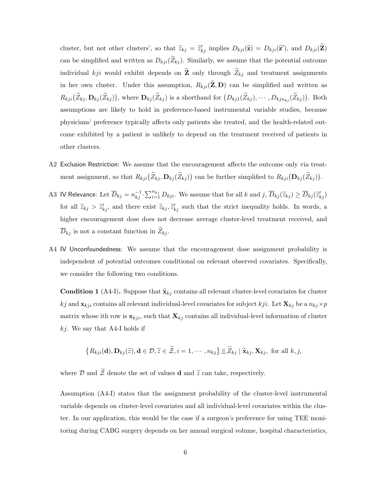cluster, but not other clusters', so that  $\tilde{z}_{kj} = \tilde{z}'_{kj}$  implies  $D_{kji}(\tilde{z}) = D_{kji}(\tilde{z}')$ , and  $D_{kji}(\tilde{z})$ can be simplified and written as  $D_{kji}(\widetilde{Z}_{kj})$ . Similarly, we assume that the potential outcome individual kji would exhibit depends on  $\widetilde{\mathbf{Z}}$  only through  $\widetilde{Z}_{kj}$  and treatment assignments in her own cluster. Under this assumption,  $R_{kji}(\mathbf{Z}, \mathbf{D})$  can be simplified and written as  $R_{kji}(\tilde{Z}_{kj}, \mathbf{D}_{kj}(\tilde{Z}_{kj}))$ , where  $\mathbf{D}_{kj}(\tilde{Z}_{kj})$  is a shorthand for  $(D_{kj1}(\tilde{Z}_{kj}), \cdots, D_{kjn_{kj}}(\tilde{Z}_{kj}))$ . Both assumptions are likely to hold in preference-based instrumental variable studies, because physicians' preference typically affects only patients she treated, and the health-related outcome exhibited by a patient is unlikely to depend on the treatment received of patients in other clusters.

- A2 Exclusion Restriction: We assume that the encouragement affects the outcome only via treatment assignment, so that  $R_{kji}(\bar{Z}_{kj}, \mathbf{D}_{kj}(\bar{Z}_{kj}))$  can be further simplified to  $R_{kji}(\mathbf{D}_{kj}(\bar{Z}_{kj}))$ .
- A3 IV Relevance: Let  $\overline{D}_{kj} = n_{kj}^{-1} \cdot \sum_{i=1}^{n_{kj}} D_{kji}$ . We assume that for all k and  $j, \overline{D}_{kj}(\widetilde{z}_{kj}) \ge \overline{D}_{kj}(\widetilde{z}'_{kj})$ for all  $\tilde{z}_{kj} > \tilde{z}'_{kj}$ , and there exist  $\tilde{z}_{kj}, \tilde{z}'_{kj}$  such that the strict inequality holds. In words, a higher encouragement dose does not decrease average cluster-level treatment received, and  $\overline{D}_{kj}$  is not a constant function in  $\widetilde{Z}_{kj}$ .
- A4 IV Unconfoundedness: We assume that the encouragement dose assignment probability is independent of potential outcomes conditional on relevant observed covariates. Specifically, we consider the following two conditions.

**Condition 1** (A4-I). Suppose that  $\tilde{\mathbf{x}}_{kj}$  contains all relevant cluster-level covariates for cluster kj and  $\mathbf{x}_{kji}$  contains all relevant individual-level covariates for subject kji. Let  $\mathbf{X}_{kj}$  be a  $n_{kj} \times p$ matrix whose ith row is  $\mathbf{x}_{kji}$ , such that  $\mathbf{X}_{kj}$  contains all individual-level information of cluster  $kj$ . We say that A4-I holds if

$$
\{R_{kji}(\mathbf{d}), \mathbf{D}_{kj}(\widetilde{z}), \mathbf{d} \in \mathcal{D}, \widetilde{z} \in \widetilde{\mathcal{Z}}, i = 1, \cdots, n_{kj}\} \perp \perp \widetilde{\mathcal{Z}}_{kj} \mid \widetilde{\mathbf{x}}_{kj}, \mathbf{X}_{kj}, \text{ for all } k, j,
$$

where  $\mathcal D$  and  $\widetilde{\mathcal Z}$  denote the set of values **d** and  $\widetilde{z}$  can take, respectively.

Assumption (A4-I) states that the assignment probability of the cluster-level instrumental variable depends on cluster-level covariates and all individual-level covariates within the cluster. In our application, this would be the case if a surgeon's preference for using TEE monitoring during CABG surgery depends on her annual surgical volume, hospital characteristics,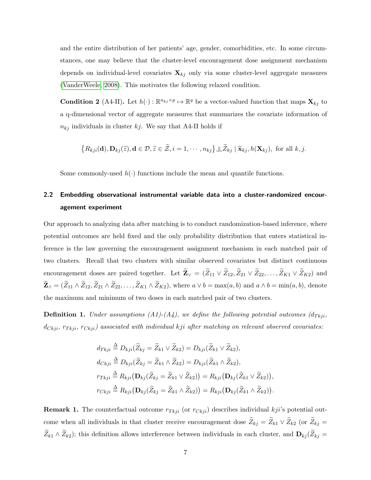and the entire distribution of her patients' age, gender, comorbidities, etc. In some circumstances, one may believe that the cluster-level encouragement dose assignment mechanism depends on individual-level covariates  $\mathbf{X}_{kj}$  only via some cluster-level aggregate measures [\(VanderWeele, 2008\)](#page-25-5). This motivates the following relaxed condition.

**Condition 2** (A4-II). Let  $h(\cdot): \mathbb{R}^{n_{kj}\times p} \mapsto \mathbb{R}^q$  be a vector-valued function that maps  $\mathbf{X}_{kj}$  to a q-dimensional vector of aggregate measures that summarizes the covariate information of  $n_{kj}$  individuals in cluster kj. We say that A4-II holds if

$$
\{R_{kji}(\mathbf{d}), \mathbf{D}_{kj}(\widetilde{z}), \mathbf{d} \in \mathcal{D}, \widetilde{z} \in \widetilde{\mathcal{Z}}, i = 1, \cdots, n_{kj}\} \perp \perp \widetilde{Z}_{kj} \mid \widetilde{\mathbf{x}}_{kj}, h(\mathbf{X}_{kj}), \text{ for all } k, j.
$$

Some commonly-used  $h(\cdot)$  functions include the mean and quantile functions.

## 2.2 Embedding observational instrumental variable data into a cluster-randomized encouragement experiment

Our approach to analyzing data after matching is to conduct randomization-based inference, where potential outcomes are held fixed and the only probability distribution that enters statistical inference is the law governing the encouragement assignment mechanism in each matched pair of two clusters. Recall that two clusters with similar observed covariates but distinct continuous encouragement doses are paired together. Let  $\widetilde{\mathbf{Z}}_V = (\widetilde{Z}_{11} \vee \widetilde{Z}_{12}, \widetilde{Z}_{21} \vee \widetilde{Z}_{22}, \ldots, \widetilde{Z}_{K1} \vee \widetilde{Z}_{K2})$  and  $\widetilde{\mathbf{Z}}_{\wedge} = (\widetilde{Z}_{11} \wedge \widetilde{Z}_{12}, \widetilde{Z}_{21} \wedge \widetilde{Z}_{22}, \dots, \widetilde{Z}_{K1} \wedge \widetilde{Z}_{K2}),$  where  $a \vee b = \max(a, b)$  and  $a \wedge b = \min(a, b)$ , denote the maximum and minimum of two doses in each matched pair of two clusters.

<span id="page-6-1"></span>**Definition 1.** Under assumptions  $(A1)-(A4)$ , we define the following potential outcomes  $(d_{Tkj},$  $d_{Ckji}$ ,  $r_{Tkji}$ ,  $r_{Ckji}$ ) associated with individual kji after matching on relevant observed covariates:

$$
d_{Tkji} \stackrel{\Delta}{=} D_{kji}(\widetilde{Z}_{kj} = \widetilde{Z}_{k1} \vee \widetilde{Z}_{k2}) = D_{kji}(\widetilde{Z}_{k1} \vee \widetilde{Z}_{k2}),
$$
  
\n
$$
d_{Ckji} \stackrel{\Delta}{=} D_{kji}(\widetilde{Z}_{kj} = \widetilde{Z}_{k1} \wedge \widetilde{Z}_{k2}) = D_{kji}(\widetilde{Z}_{k1} \wedge \widetilde{Z}_{k2}),
$$
  
\n
$$
r_{Tkji} \stackrel{\Delta}{=} R_{kji}(\mathbf{D}_{kj}(\widetilde{Z}_{kj} = \widetilde{Z}_{k1} \vee \widetilde{Z}_{k2})) = R_{kji}(\mathbf{D}_{kj}(\widetilde{Z}_{k1} \vee \widetilde{Z}_{k2})),
$$
  
\n
$$
r_{Ckji} \stackrel{\Delta}{=} R_{kji}(\mathbf{D}_{kj}(\widetilde{Z}_{kj} = \widetilde{Z}_{k1} \wedge \widetilde{Z}_{k2})) = R_{kji}(\mathbf{D}_{kj}(\widetilde{Z}_{k1} \wedge \widetilde{Z}_{k2})).
$$

<span id="page-6-0"></span>**Remark 1.** The counterfactual outcome  $r_{Tkji}$  (or  $r_{Ckji}$ ) describes individual kji's potential outcome when all individuals in that cluster receive encouragement dose  $\widetilde{Z}_{kj} = \widetilde{Z}_{k1} \vee \widetilde{Z}_{k2}$  (or  $\widetilde{Z}_{kj} =$  $\widetilde{Z}_{k1} \wedge \widetilde{Z}_{k2}$ ); this definition allows interference between individuals in each cluster, and  $\mathbf{D}_{kj} (\widetilde{Z}_{kj} =$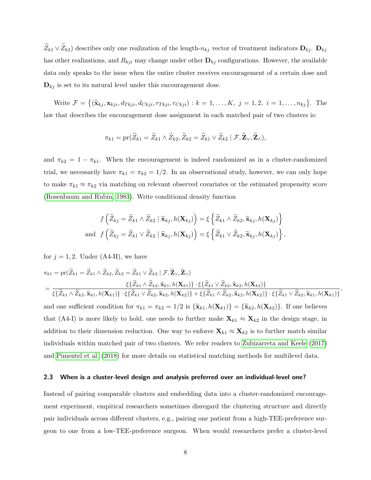$\widetilde{Z}_{k1} \vee \widetilde{Z}_{k2}$  describes only one realization of the length- $n_{kj}$  vector of treatment indicators  $\mathbf{D}_{kj}$ .  $\mathbf{D}_{kj}$ has other realizations, and  $R_{kji}$  may change under other  $\mathbf{D}_{kj}$  configurations. However, the available data only speaks to the issue when the entire cluster receives encouragement of a certain dose and  $\mathbf{D}_{ki}$  is set to its natural level under this encouragement dose.

Write  $\mathcal{F} = \{(\mathbf{\tilde{x}}_{kj}, \mathbf{x}_{kji}, d_{Tkji}, d_{Ckji}, r_{Tkji}, r_{Ckji}) : k = 1, ..., K, j = 1, 2, i = 1, ..., n_{kj}\}$ . The law that describes the encouragement dose assignment in each matched pair of two clusters is:

$$
\pi_{k1} = \mathrm{pr}(\widetilde{Z}_{k1} = \widetilde{Z}_{k1} \wedge \widetilde{Z}_{k2}, \widetilde{Z}_{k2} = \widetilde{Z}_{k1} \vee \widetilde{Z}_{k2} | \mathcal{F}, \widetilde{\mathbf{Z}}_{\vee}, \widetilde{\mathbf{Z}}_{\wedge}),
$$

and  $\pi_{k2} = 1 - \pi_{k1}$ . When the encouragement is indeed randomized as in a cluster-randomized trial, we necessarily have  $\pi_{k1} = \pi_{k2} = 1/2$ . In an observational study, however, we can only hope to make  $\pi_{k1} \approx \pi_{k2}$  via matching on relevant observed covariates or the estimated propensity score [\(Rosenbaum and Rubin, 1983\)](#page-24-3). Write conditional density function

$$
f\left(\widetilde{Z}_{kj} = \widetilde{Z}_{k1} \wedge \widetilde{Z}_{k2} | \widetilde{\mathbf{x}}_{kj}, h(\mathbf{X}_{kj})\right) = \xi \left\{ \widetilde{Z}_{k1} \wedge \widetilde{Z}_{k2}, \widetilde{\mathbf{x}}_{kj}, h(\mathbf{X}_{kj}) \right\}
$$
  
and  $f\left(\widetilde{Z}_{kj} = \widetilde{Z}_{k1} \vee \widetilde{Z}_{k2} | \widetilde{\mathbf{x}}_{kj}, h(\mathbf{X}_{kj})\right) = \xi \left\{ \widetilde{Z}_{k1} \vee \widetilde{Z}_{k2}, \widetilde{\mathbf{x}}_{kj}, h(\mathbf{X}_{kj}) \right\},$ 

for  $j = 1, 2$ . Under (A4-II), we have

$$
\pi_{k1} = \text{pr}(\widetilde{Z}_{k1} = \widetilde{Z}_{k1} \wedge \widetilde{Z}_{k2}, \widetilde{Z}_{k2} = \widetilde{Z}_{k1} \vee \widetilde{Z}_{k2} | \mathcal{F}, \widetilde{\mathbf{Z}}_{\vee}, \widetilde{\mathbf{Z}}_{\wedge})
$$
\n
$$
= \frac{\xi\{\widetilde{Z}_{k1} \wedge \widetilde{Z}_{k2}, \widetilde{\mathbf{x}}_{k1}, h(\mathbf{X}_{k1})\} \cdot \xi\{\widetilde{Z}_{k1} \vee \widetilde{Z}_{k2}, \widetilde{\mathbf{x}}_{k2}, h(\mathbf{X}_{k2})\}}{\xi\{\widetilde{Z}_{k1} \wedge \widetilde{Z}_{k2}, \widetilde{\mathbf{x}}_{k1}, h(\mathbf{X}_{k1})\} \cdot \xi\{\widetilde{Z}_{k1} \vee \widetilde{Z}_{k2}, \widetilde{\mathbf{x}}_{k2}, h(\mathbf{X}_{k2})\} + \xi\{\widetilde{Z}_{k1} \wedge \widetilde{Z}_{k2}, \widetilde{\mathbf{x}}_{k2}, h(\mathbf{X}_{k2})\} \cdot \xi\{\widetilde{Z}_{k1} \vee \widetilde{Z}_{k2}, \widetilde{\mathbf{x}}_{k1}, h(\mathbf{X}_{k1})\}},
$$

and one sufficient condition for  $\pi_{k1} = \pi_{k2} = 1/2$  is  $\{\tilde{\mathbf{x}}_{k1}, h(\mathbf{X}_{k1})\} = \{\tilde{\mathbf{x}}_{k2}, h(\mathbf{X}_{k2})\}$ . If one believes that (A4-I) is more likely to hold, one needs to further make  $X_{k1} \approx X_{k2}$  in the design stage, in addition to their dimension reduction. One way to enforce  $\mathbf{X}_{k1} \approx \mathbf{X}_{k2}$  is to further match similar individuals within matched pair of two clusters. We refer readers to [Zubizarreta and Keele](#page-25-6) [\(2017\)](#page-25-6) and [Pimentel et al.](#page-24-4) [\(2018\)](#page-24-4) for more details on statistical matching methods for multilevel data.

### 2.3 When is a cluster-level design and analysis preferred over an individual-level one?

Instead of pairing comparable clusters and embedding data into a cluster-randomized encouragement experiment, empirical researchers sometimes disregard the clustering structure and directly pair individuals across different clusters, e.g., pairing one patient from a high-TEE-preference surgeon to one from a low-TEE-preference surgeon. When would researchers prefer a cluster-level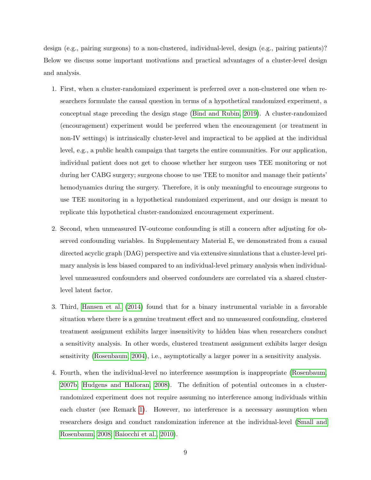design (e.g., pairing surgeons) to a non-clustered, individual-level, design (e.g., pairing patients)? Below we discuss some important motivations and practical advantages of a cluster-level design and analysis.

- 1. First, when a cluster-randomized experiment is preferred over a non-clustered one when researchers formulate the causal question in terms of a hypothetical randomized experiment, a conceptual stage preceding the design stage [\(Bind and Rubin, 2019\)](#page-21-0). A cluster-randomized (encouragement) experiment would be preferred when the encouragement (or treatment in non-IV settings) is intrinsically cluster-level and impractical to be applied at the individual level, e.g., a public health campaign that targets the entire communities. For our application, individual patient does not get to choose whether her surgeon uses TEE monitoring or not during her CABG surgery; surgeons choose to use TEE to monitor and manage their patients' hemodynamics during the surgery. Therefore, it is only meaningful to encourage surgeons to use TEE monitoring in a hypothetical randomized experiment, and our design is meant to replicate this hypothetical cluster-randomized encouragement experiment.
- 2. Second, when unmeasured IV-outcome confounding is still a concern after adjusting for observed confounding variables. In Supplementary Material E, we demonstrated from a causal directed acyclic graph (DAG) perspective and via extensive simulations that a cluster-level primary analysis is less biased compared to an individual-level primary analysis when individuallevel unmeasured confounders and observed confounders are correlated via a shared clusterlevel latent factor.
- 3. Third, [Hansen et al.](#page-22-3) [\(2014\)](#page-22-3) found that for a binary instrumental variable in a favorable situation where there is a genuine treatment effect and no unmeasured confounding, clustered treatment assignment exhibits larger insensitivity to hidden bias when researchers conduct a sensitivity analysis. In other words, clustered treatment assignment exhibits larger design sensitivity [\(Rosenbaum, 2004\)](#page-24-5), i.e., asymptotically a larger power in a sensitivity analysis.
- 4. Fourth, when the individual-level no interference assumption is inappropriate [\(Rosenbaum,](#page-24-6) [2007b;](#page-24-6) [Hudgens and Halloran, 2008\)](#page-22-4). The definition of potential outcomes in a clusterrandomized experiment does not require assuming no interference among individuals within each cluster (see Remark [1\)](#page-6-0). However, no interference is a necessary assumption when researchers design and conduct randomization inference at the individual-level [\(Small and](#page-25-1) [Rosenbaum, 2008;](#page-25-1) [Baiocchi et al., 2010\)](#page-20-0).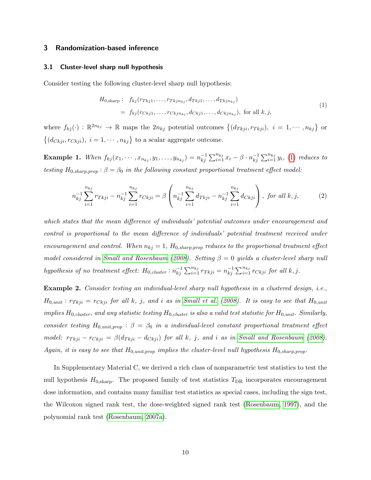## <span id="page-9-0"></span>3 Randomization-based inference

#### 3.1 Cluster-level sharp null hypothesis

<span id="page-9-1"></span>Consider testing the following cluster-level sharp null hypothesis:

$$
H_{0,\text{sharp}}: f_{kj}(r_{Tkj1},\ldots,r_{Tkj n_{kj}},d_{Tkj1},\ldots,d_{Tkj n_{kj}})
$$
  
=  $f_{kj}(r_{Ckj1},\ldots,r_{Ckj n_{kj}},d_{Ckj1},\ldots,d_{Ckj n_{kj}}),$  for all  $k,j,$  (1)

where  $f_{kj}(\cdot) : \mathbb{R}^{2n_{kj}} \to \mathbb{R}$  maps the  $2n_{kj}$  potential outcomes  $\{(d_{Tkji}, r_{Tkji}), i = 1, \cdots, n_{kj}\}\$  or  $\{(d_{Ckji}, r_{Ckji}), i = 1, \cdots, n_{kj}\}\$ to a scalar aggregate outcome.

<span id="page-9-2"></span>**Example 1.** When  $f_{kj}(x_1, \dots, x_{n_{kj}}, y_1, \dots, y_{n_{kj}}) = n_{kj}^{-1}$  $\sum_{i=1}^{-1} \sum_{i=1}^{n_{kj}} x_i - \beta \cdot n_{kj}^{-1}$  $\sum_{i=1}^{-1} \sum_{i=1}^{n_{kj}} y_i$ , [\(1\)](#page-9-1) reduces to testing  $H_{0,sharp,prop}$ :  $\beta = \beta_0$  in the following constant proportional treatment effect model:

<span id="page-9-3"></span>
$$
n_{kj}^{-1} \sum_{i=1}^{n_{kj}} r_{Tkji} - n_{kj}^{-1} \sum_{i=1}^{n_{kj}} r_{Ckji} = \beta \left( n_{kj}^{-1} \sum_{i=1}^{n_{kj}} d_{Tkji} - n_{kj}^{-1} \sum_{i=1}^{n_{kj}} d_{Ckji} \right), \text{ for all } k, j,
$$
 (2)

which states that the mean difference of individuals' potential outcomes under encouragement and control is proportional to the mean difference of individuals' potential treatment received under encouragement and control. When  $n_{kj} = 1$ ,  $H_{0,sharp,prop}$  reduces to the proportional treatment effect model considered in [Small and Rosenbaum](#page-25-1) [\(2008\)](#page-25-1). Setting  $\beta = 0$  yields a cluster-level sharp null hypothesis of no treatment effect:  $H_{0,cluster}: n_{ki}^{-1}$  $\sum_{i=1}^{-1} \sum_{i=1}^{n_{kj}} r_{Tkji} = n_{kj}^{-1}$  $\sum_{i=1}^{-1} \sum_{i=1}^{n_{kj}} r_{Ckji}$  for all  $k, j$ .

Example 2. Consider testing an individual-level sharp null hypothesis in a clustered design, i.e.,  $H_{0,unit}: r_{Tkji} = r_{Ckji}$  for all k, j, and i as in [Small et al.](#page-25-2) [\(2008\)](#page-25-2). It is easy to see that  $H_{0,unit}$ implies  $H_{0,cluster}$ , and any statistic testing  $H_{0,cluster}$  is also a valid test statistic for  $H_{0,unit}$ . Similarly, consider testing  $H_{0,unit,prop}$ :  $\beta = \beta_0$  in a individual-level constant proportional treatment effect model:  $r_{Tkji} - r_{Ckji} = \beta(d_{Tkji} - d_{Ckji})$  for all k, j, and i as in [Small and Rosenbaum](#page-25-1) [\(2008\)](#page-25-1). Again, it is easy to see that  $H_{0,unit,prop}$  implies the cluster-level null hypothesis  $H_{0,sharp,prop}$ .

In Supplementary Material C, we derived a rich class of nonparametric test statistics to test the null hypothesis  $H_{0,\text{sharp}}$ . The proposed family of test statistics  $T_{\text{DR}}$  incorporates encouragement dose information, and contains many familiar test statistics as special cases, including the sign test, the Wilcoxon signed rank test, the dose-weighted signed rank test [\(Rosenbaum, 1997\)](#page-24-7), and the polynomial rank test [\(Rosenbaum, 2007a\)](#page-24-8).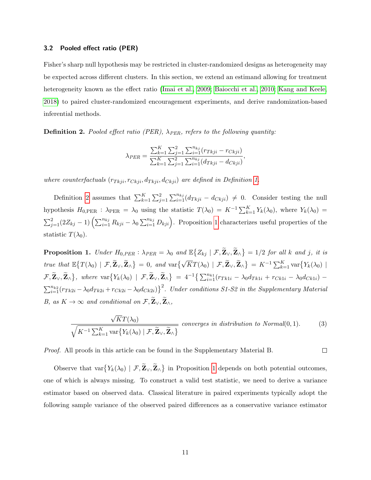#### <span id="page-10-3"></span>3.2 Pooled effect ratio (PER)

Fisher's sharp null hypothesis may be restricted in cluster-randomized designs as heterogeneity may be expected across different clusters. In this section, we extend an estimand allowing for treatment heterogeneity known as the effect ratio [\(Imai et al., 2009;](#page-23-0) [Baiocchi et al., 2010;](#page-20-0) [Kang and Keele,](#page-23-3) [2018\)](#page-23-3) to paired cluster-randomized encouragement experiments, and derive randomization-based inferential methods.

<span id="page-10-0"></span>**Definition 2.** Pooled effect ratio (PER),  $\lambda_{PER}$ , refers to the following quantity:

$$
\lambda_{PER} = \frac{\sum_{k=1}^{K} \sum_{j=1}^{2} \sum_{i=1}^{n_{kj}} (r_{Tkji} - r_{Ckji})}{\sum_{k=1}^{K} \sum_{j=1}^{2} \sum_{i=1}^{n_{kj}} (d_{Tkji} - d_{Ckji})},
$$

where counterfactuals  $(r_{Tkji}, r_{Ckji}, d_{Tkji}, d_{Ckji})$  are defined in Definition [1.](#page-6-1)

Definition [2](#page-10-0) assumes that  $\sum_{k=1}^{K} \sum_{j=1}^{2} \sum_{i=1}^{n_{kj}} (d_{Tkji} - d_{Ckji}) \neq 0$ . Consider testing the null hypothesis  $H_{0,\text{PER}}$ :  $\lambda_{\text{PER}} = \lambda_0$  using the statistic  $T(\lambda_0) = K^{-1} \sum_{k=1}^{K} Y_k(\lambda_0)$ , where  $Y_k(\lambda_0) =$  $\sum_{j=1}^2(2Z_{kj}-1)\left(\sum_{i=1}^{n_{kj}}R_{kji}-\lambda_0\sum_{i=1}^{n_{kj}}D_{kji}\right)$ . Proposition [1](#page-10-1) characterizes useful properties of the statistic  $T(\lambda_0)$ .

<span id="page-10-1"></span>**Proposition 1.** Under  $H_{0,PER}$ :  $\lambda_{PER} = \lambda_0$  and  $\mathbb{E}\left\{Z_{kj} | \mathcal{F}, \widetilde{\mathbf{Z}}_{\vee}, \widetilde{\mathbf{Z}}_{\wedge}\right\} = 1/2$  for all k and j, it is true that  $\mathbb{E}\big\{T(\lambda_0) \mid \mathcal{F}, \widetilde{\mathbf{Z}}_{\vee}, \widetilde{\mathbf{Z}}_{\wedge}\big\} = 0$ , and  $\text{var}\big\{\sqrt{K}T(\lambda_0) \mid \mathcal{F}, \widetilde{\mathbf{Z}}_{\vee}, \widetilde{\mathbf{Z}}_{\wedge}\big\} = K^{-1} \sum_{k=1}^K \text{var}\big\{Y_k(\lambda_0) \mid$  $\mathcal{F}, \widetilde{\mathbf{Z}}_{\vee}, \widetilde{\mathbf{Z}}_{\wedge} \}$ , where  $\text{var}\{Y_k(\lambda_0) \mid \mathcal{F}, \widetilde{\mathbf{Z}}_{\vee}, \widetilde{\mathbf{Z}}_{\wedge}\} = 4^{-1} \big\{ \sum_{i=1}^{n_{k1}} (r_{Tk1i} - \lambda_0 d_{Tk1i} + r_{Ck1i} - \lambda_0 d_{Ck1i}) \sum_{i=1}^{n_{k2}} (r_{Tk2i} - \lambda_0 d_{Tk2i} + r_{Ck2i} - \lambda_0 d_{Ck2i})\}^2$ . Under conditions S1-S2 in the Supplementary Material B, as  $K \to \infty$  and conditional on  $\mathcal{F}, \widetilde{\mathbf{Z}}_{\vee}, \widetilde{\mathbf{Z}}_{\wedge},$ 

<span id="page-10-2"></span>
$$
\frac{\sqrt{KT}(\lambda_0)}{\sqrt{K^{-1}\sum_{k=1}^K \text{var}\{Y_k(\lambda_0) \mid \mathcal{F}, \widetilde{\mathbf{Z}}_{\vee}, \widetilde{\mathbf{Z}}_{\wedge}\}}} \text{ converges in distribution to Normal}(0,1). \tag{3}
$$

 $\Box$ 

Proof. All proofs in this article can be found in the Supplementary Material B.

Observe that  $var{Y_k(\lambda_0) | \mathcal{F}, \mathbf{Z}_\vee, \mathbf{Z}_\wedge\}$  in Proposition [1](#page-10-1) depends on both potential outcomes, one of which is always missing. To construct a valid test statistic, we need to derive a variance estimator based on observed data. Classical literature in paired experiments typically adopt the following sample variance of the observed paired differences as a conservative variance estimator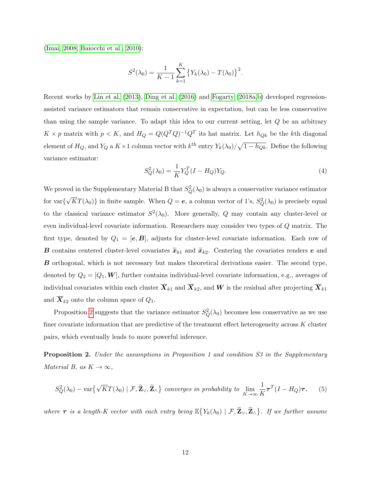[\(Imai, 2008;](#page-23-4) [Baiocchi et al., 2010\)](#page-20-0):

$$
S^{2}(\lambda_{0}) = \frac{1}{K-1} \sum_{k=1}^{K} \left\{ Y_{k}(\lambda_{0}) - T(\lambda_{0}) \right\}^{2}.
$$

Recent works by [Lin et al.](#page-23-5) [\(2013\)](#page-23-5), [Ding et al.](#page-21-1) [\(2016\)](#page-21-1) and [Fogarty](#page-21-2) [\(2018a,](#page-21-2)[b\)](#page-21-3) developed regressionassisted variance estimators that remain conservative in expectation, but can be less conservative than using the sample variance. To adapt this idea to our current setting, let Q be an arbitrary  $K \times p$  matrix with  $p < K$ , and  $H_Q = Q(Q^TQ)^{-1}Q^T$  its hat matrix. Let  $h_{Qk}$  be the kth diagonal element of  $H_Q$ , and  $Y_Q$  a  $K \times 1$  column vector with  $k^{\text{th}}$  entry  $Y_k(\lambda_0)/\sqrt{1-h_{Qk}}$ . Define the following variance estimator:

<span id="page-11-1"></span>
$$
S_Q^2(\lambda_0) = \frac{1}{K} Y_Q^T (I - H_Q) Y_Q.
$$
\n(4)

We proved in the Supplementary Material B that  $S_Q^2(\lambda_0)$  is always a conservative variance estimator for var{ √  $\overline{KT}(\lambda_0)$  in finite sample. When  $Q = e$ , a column vector of 1's,  $S_Q^2(\lambda_0)$  is precisely equal to the classical variance estimator  $S^2(\lambda_0)$ . More generally, Q may contain any cluster-level or even individual-level covariate information. Researchers may consider two types of Q matrix. The first type, denoted by  $Q_1 = [\mathbf{e}, \mathbf{B}]$ , adjusts for cluster-level covariate information. Each row of **B** contains centered cluster-level covariates  $\widetilde{x}_{k1}$  and  $\widetilde{x}_{k2}$ . Centering the covariates renders **e** and B orthogonal, which is not necessary but makes theoretical derivations easier. The second type, denoted by  $Q_2 = [Q_1, \mathbf{W}]$ , further contains individual-level covariate information, e.g., averages of individual covariates within each cluster  $\overline{X}_{k1}$  and  $\overline{X}_{k2}$ , and W is the residual after projecting  $\overline{X}_{k1}$ and  $\overline{X}_{k2}$  onto the column space of  $Q_1$ .

Proposition [2](#page-11-0) suggests that the variance estimator  $S_Q^2(\lambda_0)$  becomes less conservative as we use finer covariate information that are predictive of the treatment effect heterogeneity across K cluster pairs, which eventually leads to more powerful inference.

<span id="page-11-0"></span>**Proposition 2.** Under the assumptions in Proposition 1 and condition S3 in the Supplementary Material B, as  $K \to \infty$ ,

$$
S_Q^2(\lambda_0) - \text{var}\big\{\sqrt{K}T(\lambda_0) \mid \mathcal{F}, \widetilde{\mathbf{Z}}_{\vee}, \widetilde{\mathbf{Z}}_{\wedge}\big\} \text{ converges in probability to } \lim_{K \to \infty} \frac{1}{K} \tau^T (I - H_Q) \tau, \qquad (5)
$$

where  $\tau$  is a length-K vector with each entry being  $\mathbb{E}\big\{Y_k(\lambda_0) \mid \mathcal{F}, \widetilde{\mathbf{Z}}_{\vee}, \widetilde{\mathbf{Z}}_{\wedge}\big\}$ . If we further assume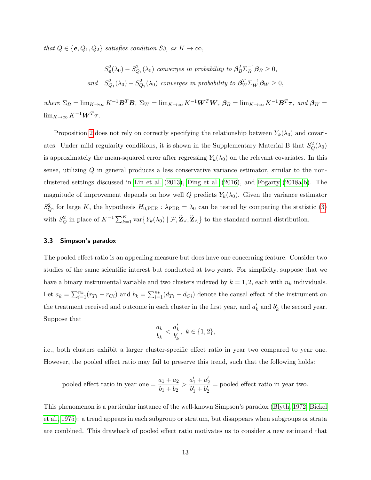that  $Q \in \{e, Q_1, Q_2\}$  satisfies condition S3, as  $K \to \infty$ ,

$$
S_e^2(\lambda_0) - S_{Q_1}^2(\lambda_0) \text{ converges in probability to } \beta_B^T \Sigma_B^{-1} \beta_B \ge 0,
$$
  
and 
$$
S_{Q_1}^2(\lambda_0) - S_{Q_2}^2(\lambda_0) \text{ converges in probability to } \beta_W^T \Sigma_W^{-1} \beta_W \ge 0,
$$

where  $\Sigma_B = \lim_{K \to \infty} K^{-1} \mathbf{B}^T \mathbf{B}$ ,  $\Sigma_W = \lim_{K \to \infty} K^{-1} \mathbf{W}^T \mathbf{W}$ ,  $\beta_B = \lim_{K \to \infty} K^{-1} \mathbf{B}^T \boldsymbol{\tau}$ , and  $\beta_W =$  $\lim_{K\to\infty} K^{-1} \mathbf{W}^T \boldsymbol{\tau}$ .

Proposition [2](#page-11-0) does not rely on correctly specifying the relationship between  $Y_k(\lambda_0)$  and covariates. Under mild regularity conditions, it is shown in the Supplementary Material B that  $S_Q^2(\lambda_0)$ is approximately the mean-squared error after regressing  $Y_k(\lambda_0)$  on the relevant covariates. In this sense, utilizing Q in general produces a less conservative variance estimator, similar to the nonclustered settings discussed in [Lin et al.](#page-23-5) [\(2013\)](#page-23-5), [Ding et al.](#page-21-1) [\(2016\)](#page-21-1), and [Fogarty](#page-21-2) [\(2018a,](#page-21-2)[b\)](#page-21-3). The magnitude of improvement depends on how well Q predicts  $Y_k(\lambda_0)$ . Given the variance estimator  $S_Q^2$ , for large K, the hypothesis  $H_{0,\text{PER}}$ :  $\lambda_{\text{PER}} = \lambda_0$  can be tested by comparing the statistic [\(3\)](#page-10-2) with  $S_Q^2$  in place of  $K^{-1} \sum_{k=1}^K \text{var}\{Y_k(\lambda_0) \mid \mathcal{F}, \widetilde{\mathbf{Z}}_{\vee}, \widetilde{\mathbf{Z}}_{\wedge}\}$  to the standard normal distribution.

#### 3.3 Simpson's paradox

The pooled effect ratio is an appealing measure but does have one concerning feature. Consider two studies of the same scientific interest but conducted at two years. For simplicity, suppose that we have a binary instrumental variable and two clusters indexed by  $k = 1, 2$ , each with  $n_k$  individuals. Let  $a_k = \sum_{i=1}^{n_k} (r_{Ti} - r_{Ci})$  and  $b_k = \sum_{i=1}^{n_k} (d_{Ti} - d_{Ci})$  denote the causal effect of the instrument on the treatment received and outcome in each cluster in the first year, and  $a'_k$  and  $b'_k$  the second year. Suppose that

$$
\frac{a_k}{b_k}<\frac{a'_k}{b'_k},\ k\in\{1,2\},
$$

i.e., both clusters exhibit a larger cluster-specific effect ratio in year two compared to year one. However, the pooled effect ratio may fail to preserve this trend, such that the following holds:

pooled effect ratio in year one = 
$$
\frac{a_1 + a_2}{b_1 + b_2} > \frac{a'_1 + a'_2}{b'_1 + b'_2}
$$
 = pooled effect ratio in year two.

This phenomenon is a particular instance of the well-known Simpson's paradox [\(Blyth, 1972;](#page-21-4) [Bickel](#page-20-2) [et al., 1975\)](#page-20-2): a trend appears in each subgroup or stratum, but disappears when subgroups or strata are combined. This drawback of pooled effect ratio motivates us to consider a new estimand that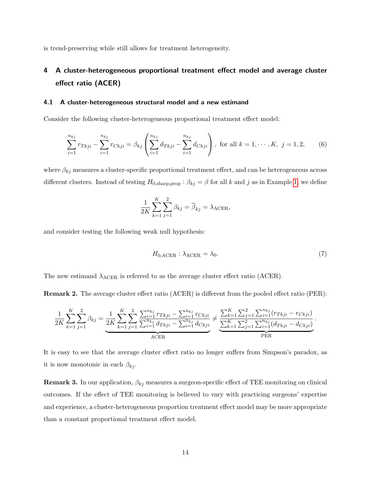is trend-preserving while still allows for treatment heterogeneity.

## <span id="page-13-0"></span>4 A cluster-heterogeneous proportional treatment effect model and average cluster effect ratio (ACER)

#### 4.1 A cluster-heterogeneous structural model and a new estimand

Consider the following cluster-heterogeneous proportional treatment effect model:

<span id="page-13-1"></span>
$$
\sum_{i=1}^{n_{kj}} r_{Tkji} - \sum_{i=1}^{n_{kj}} r_{Ckji} = \beta_{kj} \left( \sum_{i=1}^{n_{kj}} d_{Tkji} - \sum_{i=1}^{n_{kj}} d_{Ckji} \right), \text{ for all } k = 1, \cdots, K, j = 1, 2,
$$
 (6)

where  $\beta_{kj}$  measures a cluster-specific proportional treatment effect, and can be heterogeneous across different clusters. Instead of testing  $H_{0,\text{sharp,prop}} : \beta_{kj} = \beta$  for all k and j as in Example [1,](#page-9-2) we define

$$
\frac{1}{2K} \sum_{k=1}^{K} \sum_{j=1}^{2} \beta_{kj} = \overline{\beta}_{kj} = \lambda_{\text{ACER}},
$$

and consider testing the following weak null hypothesis:

$$
H_{0,\text{ACER}} : \lambda_{\text{ACER}} = \lambda_0. \tag{7}
$$

The new estimand  $\lambda_{\text{ACER}}$  is referred to as the average cluster effect ratio (ACER).

Remark 2. The average cluster effect ratio (ACER) is different from the pooled effect ratio (PER):

$$
\frac{1}{2K} \sum_{k=1}^{K} \sum_{j=1}^{2} \beta_{kj} = \underbrace{\frac{1}{2K} \sum_{k=1}^{K} \sum_{j=1}^{2} \frac{\sum_{i=1}^{n_{kj}} r_{Tkji} - \sum_{i=1}^{n_{kj}} r_{Ckji}}{\sum_{i=1}^{n_{kj}} d_{Tkji} - \sum_{i=1}^{n_{kj}} d_{Ckji}}}_{\text{ACER}} \neq \underbrace{\frac{\sum_{k=1}^{K} \sum_{j=1}^{2} \sum_{i=1}^{n_{kj}} (r_{Tkji} - r_{Ckji})}{\sum_{k=1}^{K} \sum_{j=1}^{2} \sum_{i=1}^{n_{kj}} (d_{Tkji} - d_{Ckji})}}_{\text{PER}}.
$$

It is easy to see that the average cluster effect ratio no longer suffers from Simpson's paradox, as it is now monotonic in each  $\beta_{kj}$ .

**Remark 3.** In our application,  $\beta_{kj}$  measures a surgeon-specific effect of TEE monitoring on clinical outcomes. If the effect of TEE monitoring is believed to vary with practicing surgeons' expertise and experience, a cluster-heterogeneous proportion treatment effect model may be more appropriate than a constant proportional treatment effect model.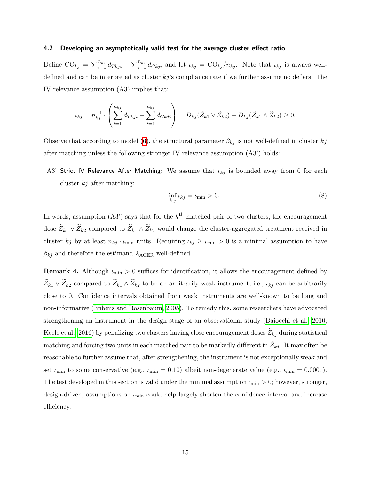#### 4.2 Developing an asymptotically valid test for the average cluster effect ratio

Define  $\text{CO}_{kj} = \sum_{i=1}^{n_{kj}} d_{Tkji} - \sum_{i=1}^{n_{kj}} d_{Ckji}$  and let  $\iota_{kj} = \text{CO}_{kj}/n_{kj}$ . Note that  $\iota_{kj}$  is always welldefined and can be interpreted as cluster  $kj$ 's compliance rate if we further assume no defiers. The IV relevance assumption (A3) implies that:

$$
\iota_{kj} = n_{kj}^{-1} \cdot \left( \sum_{i=1}^{n_{kj}} d_{Tkji} - \sum_{i=1}^{n_{kj}} d_{Ckji} \right) = \overline{D}_{kj}(\widetilde{Z}_{k1} \vee \widetilde{Z}_{k2}) - \overline{D}_{kj}(\widetilde{Z}_{k1} \wedge \widetilde{Z}_{k2}) \ge 0.
$$

Observe that according to model [\(6\)](#page-13-1), the structural parameter  $\beta_{kj}$  is not well-defined in cluster  $kj$ after matching unless the following stronger IV relevance assumption (A3') holds:

A3' Strict IV Relevance After Matching: We assume that  $\iota_{kj}$  is bounded away from 0 for each cluster  $kj$  after matching:

<span id="page-14-0"></span>
$$
\inf_{k,j} \iota_{kj} = \iota_{\min} > 0. \tag{8}
$$

In words, assumption  $(A3')$  says that for the  $k<sup>th</sup>$  matched pair of two clusters, the encouragement dose  $\widetilde{Z}_{k1} \vee \widetilde{Z}_{k2}$  compared to  $\widetilde{Z}_{k1} \wedge \widetilde{Z}_{k2}$  would change the cluster-aggregated treatment received in cluster kj by at least  $n_{kj} \cdot \iota_{\min}$  units. Requiring  $\iota_{kj} \geq \iota_{\min} > 0$  is a minimal assumption to have  $\beta_{kj}$  and therefore the estimand  $\lambda_{\text{ACER}}$  well-defined.

**Remark 4.** Although  $\iota_{\min} > 0$  suffices for identification, it allows the encouragement defined by  $\widetilde{Z}_{k1} \vee \widetilde{Z}_{k2}$  compared to  $\widetilde{Z}_{k1} \wedge \widetilde{Z}_{k2}$  to be an arbitrarily weak instrument, i.e.,  $\iota_{kj}$  can be arbitrarily close to 0. Confidence intervals obtained from weak instruments are well-known to be long and non-informative [\(Imbens and Rosenbaum, 2005\)](#page-23-6). To remedy this, some researchers have advocated strengthening an instrument in the design stage of an observational study [\(Baiocchi et al., 2010;](#page-20-0) [Keele et al., 2016\)](#page-23-7) by penalizing two clusters having close encouragement doses  $\widetilde{Z}_{kj}$  during statistical matching and forcing two units in each matched pair to be markedly different in  $\widetilde{Z}_{kj}$ . It may often be reasonable to further assume that, after strengthening, the instrument is not exceptionally weak and set  $\iota_{\min}$  to some conservative (e.g.,  $\iota_{\min} = 0.10$ ) albeit non-degenerate value (e.g.,  $\iota_{\min} = 0.0001$ ). The test developed in this section is valid under the minimal assumption  $\iota_{\min} > 0$ ; however, stronger, design-driven, assumptions on  $\iota_{\min}$  could help largely shorten the confidence interval and increase efficiency.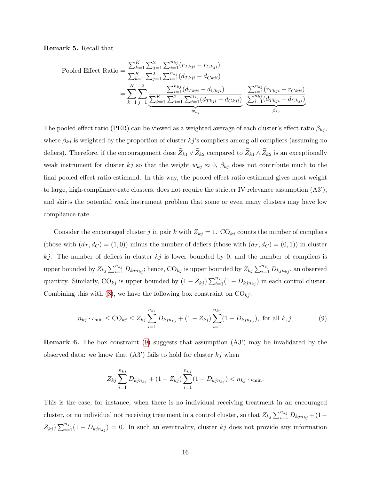<span id="page-15-1"></span>Remark 5. Recall that

Pooled Effect Ratio = 
$$
\frac{\sum_{k=1}^{K} \sum_{j=1}^{2} \sum_{i=1}^{n_{kj}} (r_{Tkji} - r_{Ckji})}{\sum_{k=1}^{K} \sum_{j=1}^{2} \sum_{i=1}^{n_{kj}} (d_{Tkji} - d_{Ckji})}
$$
  
= 
$$
\sum_{k=1}^{K} \sum_{j=1}^{2} \frac{\sum_{i=1}^{n_{kj}} (d_{Tkji} - d_{Ckji})}{\sum_{k=1}^{K} \sum_{j=1}^{2} \sum_{i=1}^{n_{kj}} (d_{Tkji} - d_{Ckji})} \cdot \frac{\sum_{i=1}^{n_{kj}} (r_{Tkji} - r_{Ckji})}{\sum_{i=1}^{n_{kj}} (d_{Tkji} - d_{Ckji})}.
$$

The pooled effect ratio (PER) can be viewed as a weighted average of each cluster's effect ratio  $\beta_{kj}$ , where  $\beta_{kj}$  is weighted by the proportion of cluster kj's compliers among all compliers (assuming no defiers). Therefore, if the encouragement dose  $\widetilde{Z}_{k1} \vee \widetilde{Z}_{k2}$  compared to  $\widetilde{Z}_{k1} \wedge \widetilde{Z}_{k2}$  is an exceptionally weak instrument for cluster kj so that the weight  $w_{kj} \approx 0$ ,  $\beta_{kj}$  does not contribute much to the final pooled effect ratio estimand. In this way, the pooled effect ratio estimand gives most weight to large, high-compliance-rate clusters, does not require the stricter IV relevance assumption (A3'), and skirts the potential weak instrument problem that some or even many clusters may have low compliance rate.

Consider the encouraged cluster j in pair k with  $Z_{kj} = 1$ . CO<sub>kj</sub> counts the number of compliers (those with  $(d_T, d_C) = (1, 0)$ ) minus the number of defiers (those with  $(d_T, d_C) = (0, 1)$ ) in cluster kj. The number of defiers in cluster  $kj$  is lower bounded by 0, and the number of compliers is upper bounded by  $Z_{kj} \sum_{i=1}^{n_{kj}} D_{kjn_{kj}}$ ; hence,  $\text{CO}_{kj}$  is upper bounded by  $Z_{kj} \sum_{i=1}^{n_{kj}} D_{kjn_{kj}}$ , an observed quantity. Similarly, CO<sub>kj</sub> is upper bounded by  $(1 - Z_{kj}) \sum_{i=1}^{n_{kj}} (1 - D_{kjn_{kj}})$  in each control cluster. Combining this with [\(8\)](#page-14-0), we have the following box constraint on  $CO_{ki}$ :

$$
n_{kj} \cdot \iota_{\min} \leq \text{CO}_{kj} \leq Z_{kj} \sum_{i=1}^{n_{kj}} D_{kjn_{kj}} + (1 - Z_{kj}) \sum_{i=1}^{n_{kj}} (1 - D_{kjn_{kj}}), \text{ for all } k, j.
$$
 (9)

<span id="page-15-0"></span>Remark 6. The box constraint [\(9\)](#page-15-0) suggests that assumption (A3') may be invalidated by the observed data: we know that  $(A3')$  fails to hold for cluster  $kj$  when

$$
Z_{kj} \sum_{i=1}^{n_{kj}} D_{kjn_{kj}} + (1 - Z_{kj}) \sum_{i=1}^{n_{kj}} (1 - D_{kjn_{kj}}) < n_{kj} \cdot \iota_{\min}.
$$

This is the case, for instance, when there is no individual receiving treatment in an encouraged cluster, or no individual not receiving treatment in a control cluster, so that  $Z_{kj} \sum_{i=1}^{n_{kj}} D_{kjn_{kj}} + (1 Z_{kj}$ )  $\sum_{i=1}^{n_{kj}}(1-D_{kjn_{kj}})=0$ . In such an eventuality, cluster kj does not provide any information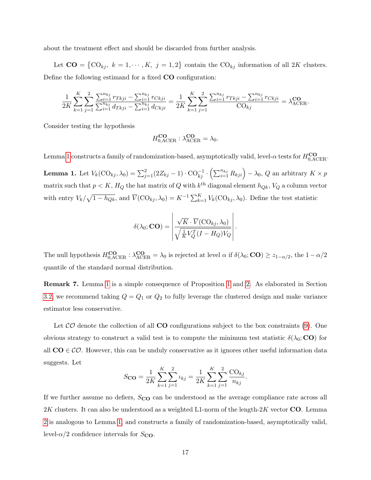about the treatment effect and should be discarded from further analysis.

Let  $CO = \{CO_{kj}, k = 1, \dots, K, j = 1, 2\}$  contain the  $CO_{kj}$  information of all 2K clusters. Define the following estimand for a fixed CO configuration:

$$
\frac{1}{2K} \sum_{k=1}^{K} \sum_{j=1}^{2} \frac{\sum_{i=1}^{n_{kj}} r_{Tkji} - \sum_{i=1}^{n_{kj}} r_{Ckji}}{\sum_{i=1}^{n_{kj}} d_{Tkji} - \sum_{i=1}^{n_{kj}} d_{Ckji}} = \frac{1}{2K} \sum_{k=1}^{K} \sum_{j=1}^{2} \frac{\sum_{i=1}^{n_{kj}} r_{Tkji} - \sum_{i=1}^{n_{kj}} r_{Ckji}}{\text{CO}_{kj}} = \lambda_{\text{ACER}}^{\text{CO}}.
$$

Consider testing the hypothesis

$$
H_{0,\text{ACER}}^{\mathbf{CO}}:\lambda^{\mathbf{CO}}_{\text{ACER}}=\lambda_0.
$$

Lemma [1](#page-16-0) constructs a family of randomization-based, asymptotically valid, level- $\alpha$  tests for  $H_{0,\mathrm{ACER}}^{\text{CO}}$ .

<span id="page-16-0"></span>**Lemma 1.** Let  $V_k(\text{CO}_{kj}, \lambda_0) = \sum_{j=1}^2 (2Z_{kj} - 1) \cdot \text{CO}_{kj}^{-1} \cdot \left(\sum_{i=1}^{n_{kj}} R_{kji}\right) - \lambda_0$ , Q an arbitrary  $K \times p$ matrix such that  $p < K$ ,  $H_Q$  the hat matrix of Q with  $k^{\text{th}}$  diagonal element  $h_{Qk}$ ,  $V_Q$  a column vector with entry  $V_k/\sqrt{1-h_{Qk}}$ , and  $\overline{V}(\text{CO}_{kj}, \lambda_0) = K^{-1} \sum_{k=1}^K V_k(\text{CO}_{kj}, \lambda_0)$ . Define the test statistic

$$
\delta(\lambda_0; \mathbf{CO}) = \left| \frac{\sqrt{K} \cdot \overline{V}(\mathrm{CO}_{kj}, \lambda_0)}{\sqrt{\frac{1}{K}V_Q^T(I - H_Q)V_Q}} \right|.
$$

The null hypothesis  $H_{0,\text{ACER}}^{\text{CO}} : \lambda_{\text{ACER}}^{\text{CO}} = \lambda_0$  is rejected at level  $\alpha$  if  $\delta(\lambda_0;\text{CO}) \geq z_{1-\alpha/2}$ , the  $1-\alpha/2$ quantile of the standard normal distribution.

Remark 7. Lemma [1](#page-16-0) is a simple consequence of Proposition [1](#page-10-1) and [2.](#page-11-0) As elaborated in Section [3.2,](#page-10-3) we recommend taking  $Q = Q_1$  or  $Q_2$  to fully leverage the clustered design and make variance estimator less conservative.

Let  $\mathcal{CO}$  denote the collection of all **CO** configurations subject to the box constraints [\(9\)](#page-15-0). One obvious strategy to construct a valid test is to compute the minimum test statistic  $\delta(\lambda_0; \mathbf{CO})$  for all  $CO \in \mathcal{CO}$ . However, this can be unduly conservative as it ignores other useful information data suggests. Let

$$
S_{\mathbf{CO}} = \frac{1}{2K} \sum_{k=1}^{K} \sum_{j=1}^{2} \iota_{kj} = \frac{1}{2K} \sum_{k=1}^{K} \sum_{j=1}^{2} \frac{\text{CO}_{kj}}{n_{kj}}.
$$

If we further assume no defiers,  $S_{\text{CO}}$  can be understood as the average compliance rate across all  $2K$  clusters. It can also be understood as a weighted L1-norm of the length- $2K$  vector  $CO$ . Lemma [2](#page-17-0) is analogous to Lemma [1,](#page-16-0) and constructs a family of randomization-based, asymptotically valid, level- $\alpha/2$  confidence intervals for  $S_{\text{CO}}$ .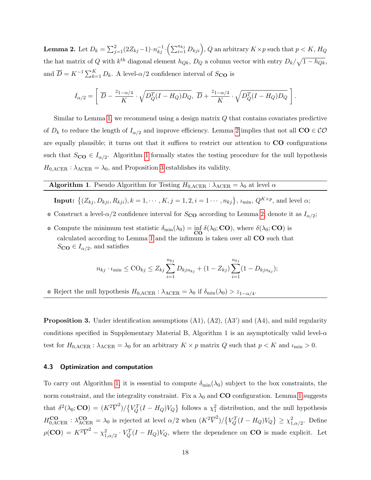<span id="page-17-0"></span>**Lemma 2.** Let  $D_k = \sum_{j=1}^2 (2Z_{kj}-1) \cdot n_{kj}^{-1} \cdot \left(\sum_{i=1}^{n_{kj}} D_{kji}\right)$ ,  $Q$  an arbitrary  $K \times p$  such that  $p < K$ ,  $H_Q$ the hat matrix of Q with  $k^{\text{th}}$  diagonal element  $h_{Qk}$ ,  $D_Q$  a column vector with entry  $D_k/\sqrt{1-h_{Qk}}$ , and  $\overline{D} = K^{-1} \sum_{k=1}^{K} D_k$ . A level- $\alpha/2$  confidence interval of  $S_{\text{CO}}$  is

$$
I_{\alpha/2} = \left[ \overline{D} - \frac{z_{1-\alpha/4}}{K} \cdot \sqrt{D_Q^T (I - H_Q) D_Q}, \ \overline{D} + \frac{z_{1-\alpha/4}}{K} \cdot \sqrt{D_Q^T (I - H_Q) D_Q} \right].
$$

Similar to Lemma [1,](#page-16-0) we recommend using a design matrix Q that contains covariates predictive of  $D_k$  to reduce the length of  $I_{\alpha/2}$  and improve efficiency. Lemma [2](#page-17-0) implies that not all  $CO \in \mathcal{CO}$ are equally plausible; it turns out that it suffices to restrict our attention to CO configurations such that  $S_{\text{CO}} \in I_{\alpha/2}$ . Algorithm [1](#page-17-1) formally states the testing procedure for the null hypothesis  $H_{0,\text{ACER}}$ :  $\lambda_{\text{ACER}} = \lambda_0$ , and Proposition [3](#page-17-2) establishes its validity.

# **Algorithm 1.** Pseudo Algorithm for Testing  $H_{0,\text{ACER}}$  :  $\lambda_{\text{ACER}} = \lambda_0$  at level  $\alpha$

<span id="page-17-1"></span>**Input:**  $\{(Z_{kj}, D_{kji}, R_{kji}), k = 1, \cdots, K, j = 1, 2, i = 1 \cdots, n_{kj}\}, \ell_{\min}, Q^{K \times p}$ , and level  $\alpha$ ;

- **0** Construct a level- $\alpha/2$  confidence interval for  $S_{\text{CO}}$  according to Lemma [2;](#page-17-0) denote it as  $I_{\alpha/2}$ ;
- **0** Compute the minimum test statistic  $\delta_{\min}(\lambda_0) = \inf_{\mathbf{CO}} \delta(\lambda_0; \mathbf{CO})$ , where  $\delta(\lambda_0; \mathbf{CO})$  is calculated according to Lemma [1](#page-16-0) and the infimum is taken over all CO such that  $S_{\text{CO}} \in I_{\alpha/2}$ , and satisfies

$$
n_{kj} \cdot \iota_{\min} \leq \text{CO}_{kj} \leq Z_{kj} \sum_{i=1}^{n_{kj}} D_{kjn_{kj}} + (1 - Z_{kj}) \sum_{i=1}^{n_{kj}} (1 - D_{kjn_{kj}});
$$

**0** Reject the null hypothesis  $H_{0,\text{ACER}}$ :  $\lambda_{\text{ACER}} = \lambda_0$  if  $\delta_{\text{min}}(\lambda_0) > z_{1-\alpha/4}$ .

<span id="page-17-2"></span>**Proposition 3.** Under identification assumptions  $(A1)$ ,  $(A2)$ ,  $(A3')$  and  $(A4)$ , and mild regularity conditions specified in Supplementary Material B, Algorithm 1 is an asymptotically valid level- $\alpha$ test for  $H_{0,\text{ACER}}$ :  $\lambda_{\text{ACER}} = \lambda_0$  for an arbitrary  $K \times p$  matrix Q such that  $p < K$  and  $\iota_{\min} > 0$ .

#### 4.3 Optimization and computation

To carry out Algorithm [1,](#page-17-1) it is essential to compute  $\delta_{\min}(\lambda_0)$  subject to the box constraints, the norm constraint, and the integrality constraint. Fix a  $\lambda_0$  and **CO** configuration. Lemma [1](#page-16-0) suggests that  $\delta^2(\lambda_0; \mathbf{CO}) = (K^2 \overline{V}^2)/\left\{V_Q^T (I - H_Q)V_Q\right\}$  follows a  $\chi_1^2$  distribution, and the null hypothesis  $H_{0,\text{ACER}}^{\text{CO}}$  :  $\lambda_{\text{ACER}}^{\text{CO}} = \lambda_0$  is rejected at level  $\alpha/2$  when  $(K^2\overline{V}^2)/\left\{V_Q^T(I-H_Q)V_Q\right\} \geq \chi_{1,\alpha/2}^2$ . Define  $\rho(\mathbf{CO}) = K^2 \overline{V}^2 - \chi_{1,\alpha/2}^2 \cdot V_Q^T (I - H_Q) V_Q$ , where the dependence on **CO** is made explicit. Let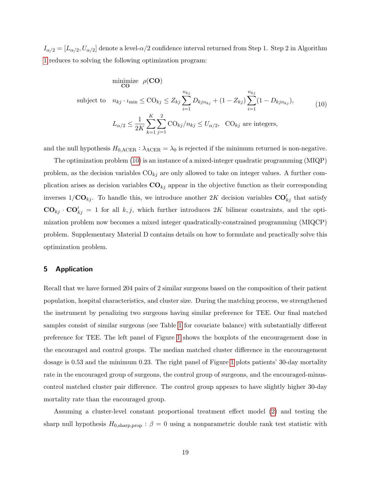$I_{\alpha/2}=[L_{\alpha/2},U_{\alpha/2}]$  denote a level- $\alpha/2$  confidence interval returned from Step 1. Step 2 in Algorithm [1](#page-17-1) reduces to solving the following optimization program:

<span id="page-18-1"></span>minimize 
$$
\rho(\mathbf{CO})
$$
  
\nsubject to  $n_{kj} \cdot \iota_{\min} \leq \mathcal{CO}_{kj} \leq Z_{kj} \sum_{i=1}^{n_{kj}} D_{kjn_{kj}} + (1 - Z_{kj}) \sum_{i=1}^{n_{kj}} (1 - D_{kjn_{kj}}),$   
\n
$$
L_{\alpha/2} \leq \frac{1}{2K} \sum_{k=1}^{K} \sum_{j=1}^{2} \mathcal{CO}_{kj} / n_{kj} \leq U_{\alpha/2}, \quad \mathcal{CO}_{kj} \text{ are integers},
$$
\n(10)

and the null hypothesis  $H_{0,\text{ACER}}$ :  $\lambda_{\text{ACER}} = \lambda_0$  is rejected if the minimum returned is non-negative.

The optimization problem [\(10\)](#page-18-1) is an instance of a mixed-integer quadratic programming (MIQP) problem, as the decision variables  $CO_{kj}$  are only allowed to take on integer values. A further complication arises as decision variables  $CO_{kj}$  appear in the objective function as their corresponding inverses  $1/\mathbf{CO}_{kj}$ . To handle this, we introduce another 2K decision variables  $\mathbf{CO}_{kj}^{\prime}$  that satisfy  $CO_{kj} \cdot CO'_{kj} = 1$  for all  $k, j$ , which further introduces 2K bilinear constraints, and the optimization problem now becomes a mixed integer quadratically-constrained programming (MIQCP) problem. Supplementary Material D contains details on how to formulate and practically solve this optimization problem.

## <span id="page-18-0"></span>5 Application

Recall that we have formed 204 pairs of 2 similar surgeons based on the composition of their patient population, hospital characteristics, and cluster size. During the matching process, we strengthened the instrument by penalizing two surgeons having similar preference for TEE. Our final matched samples consist of similar surgeons (see Table [1](#page-4-0) for covariate balance) with substantially different preference for TEE. The left panel of Figure [1](#page-19-0) shows the boxplots of the encouragement dose in the encouraged and control groups. The median matched cluster difference in the encouragement dosage is 0.53 and the minimum 0.23. The right panel of Figure [1](#page-19-0) plots patients' 30-day mortality rate in the encouraged group of surgeons, the control group of surgeons, and the encouraged-minuscontrol matched cluster pair difference. The control group appears to have slightly higher 30-day mortality rate than the encouraged group.

Assuming a cluster-level constant proportional treatment effect model [\(2\)](#page-9-3) and testing the sharp null hypothesis  $H_{0,\text{sharp,prop}}$ :  $\beta = 0$  using a nonparametric double rank test statistic with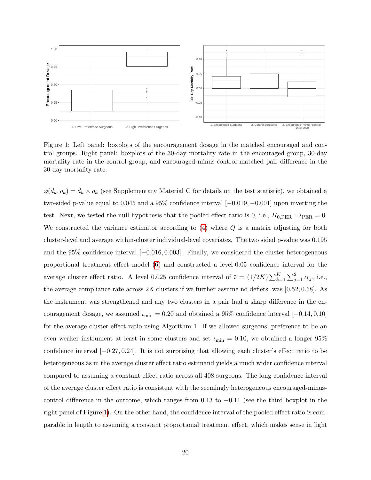<span id="page-19-0"></span>

Figure 1: Left panel: boxplots of the encouragement dosage in the matched encouraged and control groups. Right panel: boxplots of the 30-day mortality rate in the encouraged group, 30-day mortality rate in the control group, and encouraged-minus-control matched pair difference in the 30-day mortality rate.

 $\varphi(d_k, q_k) = d_k \times q_k$  (see Supplementary Material C for details on the test statistic), we obtained a two-sided p-value equal to 0.045 and a 95% confidence interval [−0.019, −0.001] upon inverting the test. Next, we tested the null hypothesis that the pooled effect ratio is 0, i.e.,  $H_{0,\text{PER}}$ :  $\lambda_{\text{PER}} = 0$ . We constructed the variance estimator according to  $(4)$  where  $Q$  is a matrix adjusting for both cluster-level and average within-cluster individual-level covariates. The two sided p-value was 0.195 and the 95% confidence interval [−0.016, 0.003]. Finally, we considered the cluster-heterogeneous proportional treatment effect model [\(6\)](#page-13-1) and constructed a level-0.05 confidence interval for the average cluster effect ratio. A level 0.025 confidence interval of  $\bar{\iota} = (1/2K) \sum_{k=1}^{K} \sum_{j=1}^{2} \iota_{kj}$ , i.e., the average compliance rate across 2K clusters if we further assume no defiers, was [0.52, 0.58]. As the instrument was strengthened and any two clusters in a pair had a sharp difference in the encouragement dosage, we assumed  $\iota_{\min} = 0.20$  and obtained a 95% confidence interval [-0.14, 0.10] for the average cluster effect ratio using Algorithm 1. If we allowed surgeons' preference to be an even weaker instrument at least in some clusters and set  $\iota_{\min} = 0.10$ , we obtained a longer 95% confidence interval  $[-0.27, 0.24]$ . It is not surprising that allowing each cluster's effect ratio to be heterogeneous as in the average cluster effect ratio estimand yields a much wider confidence interval compared to assuming a constant effect ratio across all 408 surgeons. The long confidence interval of the average cluster effect ratio is consistent with the seemingly heterogeneous encouraged-minuscontrol difference in the outcome, which ranges from 0.13 to −0.11 (see the third boxplot in the right panel of Figure [1\)](#page-19-0). On the other hand, the confidence interval of the pooled effect ratio is comparable in length to assuming a constant proportional treatment effect, which makes sense in light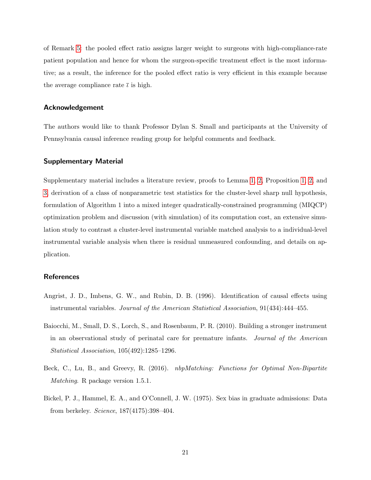of Remark [5:](#page-15-1) the pooled effect ratio assigns larger weight to surgeons with high-compliance-rate patient population and hence for whom the surgeon-specific treatment effect is the most informative; as a result, the inference for the pooled effect ratio is very efficient in this example because the average compliance rate  $\bar{\iota}$  is high.

## Acknowledgement

The authors would like to thank Professor Dylan S. Small and participants at the University of Pennsylvania causal inference reading group for helpful comments and feedback.

## Supplementary Material

Supplementary material includes a literature review, proofs to Lemma [1,](#page-16-0) [2,](#page-17-0) Proposition [1,](#page-10-1) [2,](#page-11-0) and [3,](#page-17-2) derivation of a class of nonparametric test statistics for the cluster-level sharp null hypothesis, formulation of Algorithm 1 into a mixed integer quadratically-constrained programming (MIQCP) optimization problem and discussion (with simulation) of its computation cost, an extensive simulation study to contrast a cluster-level instrumental variable matched analysis to a individual-level instrumental variable analysis when there is residual unmeasured confounding, and details on application.

## **References**

- <span id="page-20-1"></span>Angrist, J. D., Imbens, G. W., and Rubin, D. B. (1996). Identification of causal effects using instrumental variables. Journal of the American Statistical Association, 91(434):444–455.
- <span id="page-20-0"></span>Baiocchi, M., Small, D. S., Lorch, S., and Rosenbaum, P. R. (2010). Building a stronger instrument in an observational study of perinatal care for premature infants. Journal of the American Statistical Association, 105(492):1285–1296.
- <span id="page-20-3"></span>Beck, C., Lu, B., and Greevy, R. (2016). *nbpMatching: Functions for Optimal Non-Bipartite* Matching. R package version 1.5.1.
- <span id="page-20-2"></span>Bickel, P. J., Hammel, E. A., and O'Connell, J. W. (1975). Sex bias in graduate admissions: Data from berkeley. Science, 187(4175):398–404.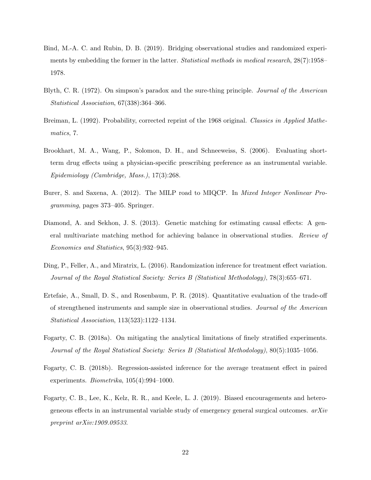- <span id="page-21-0"></span>Bind, M.-A. C. and Rubin, D. B. (2019). Bridging observational studies and randomized experiments by embedding the former in the latter. Statistical methods in medical research, 28(7):1958– 1978.
- <span id="page-21-4"></span>Blyth, C. R. (1972). On simpson's paradox and the sure-thing principle. Journal of the American Statistical Association, 67(338):364–366.
- <span id="page-21-9"></span>Breiman, L. (1992). Probability, corrected reprint of the 1968 original. Classics in Applied Mathematics, 7.
- <span id="page-21-5"></span>Brookhart, M. A., Wang, P., Solomon, D. H., and Schneeweiss, S. (2006). Evaluating shortterm drug effects using a physician-specific prescribing preference as an instrumental variable. Epidemiology (Cambridge, Mass.), 17(3):268.
- <span id="page-21-10"></span>Burer, S. and Saxena, A. (2012). The MILP road to MIQCP. In Mixed Integer Nonlinear Programming, pages 373–405. Springer.
- <span id="page-21-7"></span>Diamond, A. and Sekhon, J. S. (2013). Genetic matching for estimating causal effects: A general multivariate matching method for achieving balance in observational studies. Review of Economics and Statistics, 95(3):932–945.
- <span id="page-21-1"></span>Ding, P., Feller, A., and Miratrix, L. (2016). Randomization inference for treatment effect variation. Journal of the Royal Statistical Society: Series B (Statistical Methodology), 78(3):655–671.
- <span id="page-21-8"></span>Ertefaie, A., Small, D. S., and Rosenbaum, P. R. (2018). Quantitative evaluation of the trade-off of strengthened instruments and sample size in observational studies. Journal of the American Statistical Association, 113(523):1122–1134.
- <span id="page-21-2"></span>Fogarty, C. B. (2018a). On mitigating the analytical limitations of finely stratified experiments. Journal of the Royal Statistical Society: Series B (Statistical Methodology), 80(5):1035–1056.
- <span id="page-21-3"></span>Fogarty, C. B. (2018b). Regression-assisted inference for the average treatment effect in paired experiments. Biometrika, 105(4):994–1000.
- <span id="page-21-6"></span>Fogarty, C. B., Lee, K., Kelz, R. R., and Keele, L. J. (2019). Biased encouragements and heterogeneous effects in an instrumental variable study of emergency general surgical outcomes.  $arXiv$ preprint arXiv:1909.09533.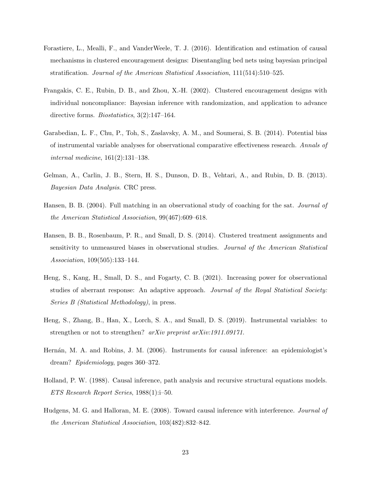- <span id="page-22-5"></span>Forastiere, L., Mealli, F., and VanderWeele, T. J. (2016). Identification and estimation of causal mechanisms in clustered encouragement designs: Disentangling bed nets using bayesian principal stratification. Journal of the American Statistical Association, 111(514):510–525.
- <span id="page-22-1"></span>Frangakis, C. E., Rubin, D. B., and Zhou, X.-H. (2002). Clustered encouragement designs with individual noncompliance: Bayesian inference with randomization, and application to advance directive forms. *Biostatistics*, 3(2):147–164.
- <span id="page-22-2"></span>Garabedian, L. F., Chu, P., Toh, S., Zaslavsky, A. M., and Soumerai, S. B. (2014). Potential bias of instrumental variable analyses for observational comparative effectiveness research. Annals of internal medicine, 161(2):131–138.
- <span id="page-22-10"></span>Gelman, A., Carlin, J. B., Stern, H. S., Dunson, D. B., Vehtari, A., and Rubin, D. B. (2013). Bayesian Data Analysis. CRC press.
- <span id="page-22-7"></span>Hansen, B. B. (2004). Full matching in an observational study of coaching for the sat. *Journal of* the American Statistical Association, 99(467):609–618.
- <span id="page-22-3"></span>Hansen, B. B., Rosenbaum, P. R., and Small, D. S. (2014). Clustered treatment assignments and sensitivity to unmeasured biases in observational studies. Journal of the American Statistical Association, 109(505):133–144.
- <span id="page-22-9"></span>Heng, S., Kang, H., Small, D. S., and Fogarty, C. B. (2021). Increasing power for observational studies of aberrant response: An adaptive approach. Journal of the Royal Statistical Society: Series B (Statistical Methodology), in press.
- <span id="page-22-8"></span>Heng, S., Zhang, B., Han, X., Lorch, S. A., and Small, D. S. (2019). Instrumental variables: to strengthen or not to strengthen? arXiv preprint arXiv:1911.09171.
- <span id="page-22-6"></span>Hernán, M. A. and Robins, J. M. (2006). Instruments for causal inference: an epidemiologist's dream? Epidemiology, pages 360–372.
- <span id="page-22-0"></span>Holland, P. W. (1988). Causal inference, path analysis and recursive structural equations models. ETS Research Report Series, 1988(1):i–50.
- <span id="page-22-4"></span>Hudgens, M. G. and Halloran, M. E. (2008). Toward causal inference with interference. Journal of the American Statistical Association, 103(482):832–842.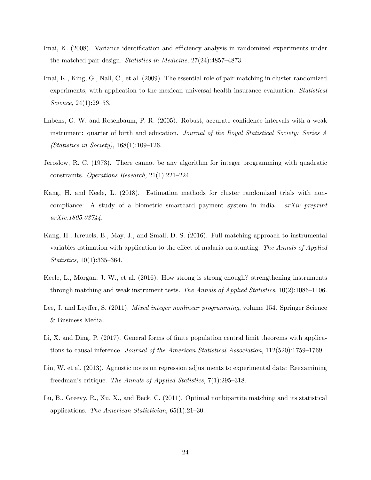- <span id="page-23-4"></span>Imai, K. (2008). Variance identification and efficiency analysis in randomized experiments under the matched-pair design. Statistics in Medicine, 27(24):4857–4873.
- <span id="page-23-0"></span>Imai, K., King, G., Nall, C., et al. (2009). The essential role of pair matching in cluster-randomized experiments, with application to the mexican universal health insurance evaluation. Statistical Science, 24(1):29–53.
- <span id="page-23-6"></span>Imbens, G. W. and Rosenbaum, P. R. (2005). Robust, accurate confidence intervals with a weak instrument: quarter of birth and education. Journal of the Royal Statistical Society: Series A (Statistics in Society), 168(1):109–126.
- <span id="page-23-10"></span>Jeroslow, R. C. (1973). There cannot be any algorithm for integer programming with quadratic constraints. Operations Research, 21(1):221–224.
- <span id="page-23-3"></span>Kang, H. and Keele, L. (2018). Estimation methods for cluster randomized trials with noncompliance: A study of a biometric smartcard payment system in india. *arXiv preprint* arXiv:1805.03744.
- <span id="page-23-2"></span>Kang, H., Kreuels, B., May, J., and Small, D. S. (2016). Full matching approach to instrumental variables estimation with application to the effect of malaria on stunting. The Annals of Applied Statistics, 10(1):335–364.
- <span id="page-23-7"></span>Keele, L., Morgan, J. W., et al. (2016). How strong is strong enough? strengthening instruments through matching and weak instrument tests. The Annals of Applied Statistics, 10(2):1086–1106.
- <span id="page-23-9"></span>Lee, J. and Leyffer, S. (2011). *Mixed integer nonlinear programming*, volume 154. Springer Science & Business Media.
- <span id="page-23-8"></span>Li, X. and Ding, P. (2017). General forms of finite population central limit theorems with applications to causal inference. Journal of the American Statistical Association, 112(520):1759–1769.
- <span id="page-23-5"></span>Lin, W. et al. (2013). Agnostic notes on regression adjustments to experimental data: Reexamining freedman's critique. The Annals of Applied Statistics, 7(1):295–318.
- <span id="page-23-1"></span>Lu, B., Greevy, R., Xu, X., and Beck, C. (2011). Optimal nonbipartite matching and its statistical applications. The American Statistician, 65(1):21–30.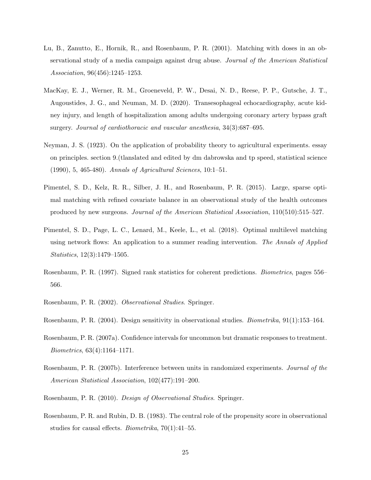- <span id="page-24-0"></span>Lu, B., Zanutto, E., Hornik, R., and Rosenbaum, P. R. (2001). Matching with doses in an observational study of a media campaign against drug abuse. Journal of the American Statistical Association, 96(456):1245–1253.
- <span id="page-24-1"></span>MacKay, E. J., Werner, R. M., Groeneveld, P. W., Desai, N. D., Reese, P. P., Gutsche, J. T., Augoustides, J. G., and Neuman, M. D. (2020). Transesophageal echocardiography, acute kidney injury, and length of hospitalization among adults undergoing coronary artery bypass graft surgery. Journal of cardiothoracic and vascular anesthesia, 34(3):687–695.
- <span id="page-24-2"></span>Neyman, J. S. (1923). On the application of probability theory to agricultural experiments. essay on principles. section 9.(tlanslated and edited by dm dabrowska and tp speed, statistical science (1990), 5, 465-480). Annals of Agricultural Sciences, 10:1–51.
- <span id="page-24-11"></span>Pimentel, S. D., Kelz, R. R., Silber, J. H., and Rosenbaum, P. R. (2015). Large, sparse optimal matching with refined covariate balance in an observational study of the health outcomes produced by new surgeons. Journal of the American Statistical Association, 110(510):515–527.
- <span id="page-24-4"></span>Pimentel, S. D., Page, L. C., Lenard, M., Keele, L., et al. (2018). Optimal multilevel matching using network flows: An application to a summer reading intervention. The Annals of Applied Statistics, 12(3):1479–1505.
- <span id="page-24-7"></span>Rosenbaum, P. R. (1997). Signed rank statistics for coherent predictions. Biometrics, pages 556– 566.
- <span id="page-24-9"></span>Rosenbaum, P. R. (2002). Observational Studies. Springer.
- <span id="page-24-5"></span>Rosenbaum, P. R. (2004). Design sensitivity in observational studies. Biometrika, 91(1):153–164.
- <span id="page-24-8"></span>Rosenbaum, P. R. (2007a). Confidence intervals for uncommon but dramatic responses to treatment. Biometrics, 63(4):1164–1171.
- <span id="page-24-6"></span>Rosenbaum, P. R. (2007b). Interference between units in randomized experiments. Journal of the American Statistical Association, 102(477):191–200.
- <span id="page-24-10"></span>Rosenbaum, P. R. (2010). Design of Observational Studies. Springer.
- <span id="page-24-3"></span>Rosenbaum, P. R. and Rubin, D. B. (1983). The central role of the propensity score in observational studies for causal effects. Biometrika, 70(1):41–55.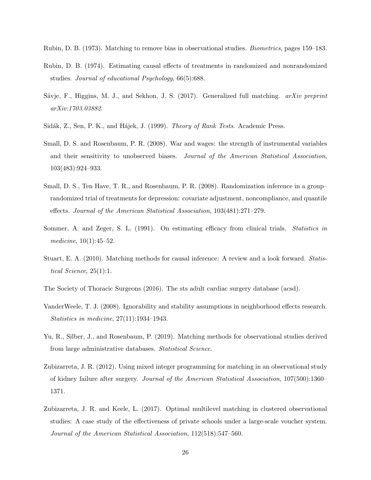<span id="page-25-7"></span>Rubin, D. B. (1973). Matching to remove bias in observational studies. Biometrics, pages 159–183.

- <span id="page-25-4"></span>Rubin, D. B. (1974). Estimating causal effects of treatments in randomized and nonrandomized studies. Journal of educational Psychology, 66(5):688.
- <span id="page-25-10"></span>Sävje, F., Higgins, M. J., and Sekhon, J. S. (2017). Generalized full matching. arXiv preprint arXiv:1703.03882.
- <span id="page-25-12"></span>Sidák, Z., Sen, P. K., and Hájek, J. (1999). *Theory of Rank Tests.* Academic Press.
- <span id="page-25-1"></span>Small, D. S. and Rosenbaum, P. R. (2008). War and wages: the strength of instrumental variables and their sensitivity to unobserved biases. Journal of the American Statistical Association, 103(483):924–933.
- <span id="page-25-2"></span>Small, D. S., Ten Have, T. R., and Rosenbaum, P. R. (2008). Randomization inference in a group– randomized trial of treatments for depression: covariate adjustment, noncompliance, and quantile effects. Journal of the American Statistical Association, 103(481):271–279.
- <span id="page-25-0"></span>Sommer, A. and Zeger, S. L. (1991). On estimating efficacy from clinical trials. Statistics in medicine,  $10(1):45-52$ .
- <span id="page-25-8"></span>Stuart, E. A. (2010). Matching methods for causal inference: A review and a look forward. Statistical Science, 25(1):1.
- <span id="page-25-3"></span>The Society of Thoracic Surgeons (2016). The sts adult cardiac surgery database (acsd).
- <span id="page-25-5"></span>VanderWeele, T. J. (2008). Ignorability and stability assumptions in neighborhood effects research. Statistics in medicine, 27(11):1934–1943.
- <span id="page-25-11"></span>Yu, R., Silber, J., and Rosenbaum, P. (2019). Matching methods for observational studies derived from large administrative databases. Statistical Science.
- <span id="page-25-9"></span>Zubizarreta, J. R. (2012). Using mixed integer programming for matching in an observational study of kidney failure after surgery. Journal of the American Statistical Association, 107(500):1360– 1371.
- <span id="page-25-6"></span>Zubizarreta, J. R. and Keele, L. (2017). Optimal multilevel matching in clustered observational studies: A case study of the effectiveness of private schools under a large-scale voucher system. Journal of the American Statistical Association, 112(518):547–560.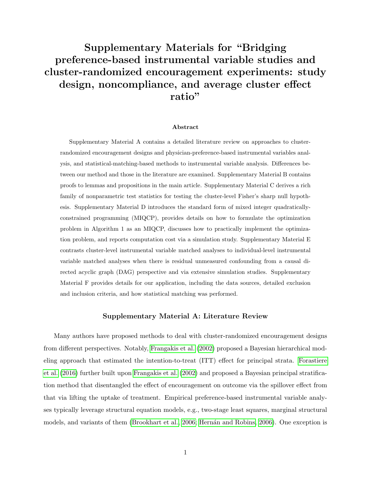# Supplementary Materials for "Bridging preference-based instrumental variable studies and cluster-randomized encouragement experiments: study design, noncompliance, and average cluster effect ratio"

#### Abstract

Supplementary Material A contains a detailed literature review on approaches to clusterrandomized encouragement designs and physician-preference-based instrumental variables analysis, and statistical-matching-based methods to instrumental variable analysis. Differences between our method and those in the literature are examined. Supplementary Material B contains proofs to lemmas and propositions in the main article. Supplementary Material C derives a rich family of nonparametric test statistics for testing the cluster-level Fisher's sharp null hypothesis. Supplementary Material D introduces the standard form of mixed integer quadraticallyconstrained programming (MIQCP), provides details on how to formulate the optimization problem in Algorithm 1 as an MIQCP, discusses how to practically implement the optimization problem, and reports computation cost via a simulation study. Supplementary Material E contrasts cluster-level instrumental variable matched analyses to individual-level instrumental variable matched analyses when there is residual unmeasured confounding from a causal directed acyclic graph (DAG) perspective and via extensive simulation studies. Supplementary Material F provides details for our application, including the data sources, detailed exclusion and inclusion criteria, and how statistical matching was performed.

## Supplementary Material A: Literature Review

Many authors have proposed methods to deal with cluster-randomized encouragement designs from different perspectives. Notably, [Frangakis et al.](#page-22-1) [\(2002\)](#page-22-1) proposed a Bayesian hierarchical modeling approach that estimated the intention-to-treat (ITT) effect for principal strata. [Forastiere](#page-22-5) [et al.](#page-22-5) [\(2016\)](#page-22-5) further built upon [Frangakis et al.](#page-22-1) [\(2002\)](#page-22-1) and proposed a Bayesian principal stratification method that disentangled the effect of encouragement on outcome via the spillover effect from that via lifting the uptake of treatment. Empirical preference-based instrumental variable analyses typically leverage structural equation models, e.g., two-stage least squares, marginal structural models, and variants of them [\(Brookhart et al., 2006;](#page-21-5) Hernán and Robins, 2006). One exception is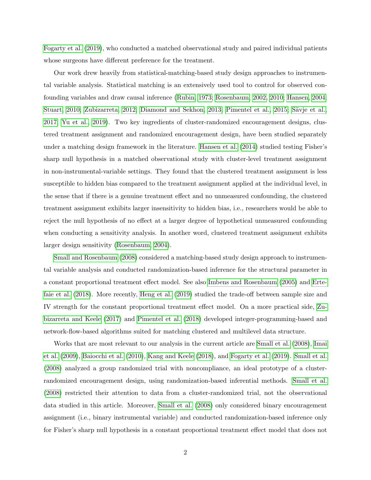[Fogarty et al.](#page-21-6) [\(2019\)](#page-21-6), who conducted a matched observational study and paired individual patients whose surgeons have different preference for the treatment.

Our work drew heavily from statistical-matching-based study design approaches to instrumental variable analysis. Statistical matching is an extensively used tool to control for observed confounding variables and draw causal inference [\(Rubin, 1973;](#page-25-7) [Rosenbaum, 2002,](#page-24-9) [2010;](#page-24-10) [Hansen, 2004;](#page-22-7) [Stuart, 2010;](#page-25-8) [Zubizarreta, 2012;](#page-25-9) [Diamond and Sekhon, 2013;](#page-21-7) [Pimentel et al., 2015;](#page-24-11) Sävje et al., [2017;](#page-25-10) [Yu et al., 2019\)](#page-25-11). Two key ingredients of cluster-randomized encouragement designs, clustered treatment assignment and randomized encouragement design, have been studied separately under a matching design framework in the literature. [Hansen et al.](#page-22-3) [\(2014\)](#page-22-3) studied testing Fisher's sharp null hypothesis in a matched observational study with cluster-level treatment assignment in non-instrumental-variable settings. They found that the clustered treatment assignment is less susceptible to hidden bias compared to the treatment assignment applied at the individual level, in the sense that if there is a genuine treatment effect and no unmeasured confounding, the clustered treatment assignment exhibits larger insensitivity to hidden bias, i.e., researchers would be able to reject the null hypothesis of no effect at a larger degree of hypothetical unmeasured confounding when conducting a sensitivity analysis. In another word, clustered treatment assignment exhibits larger design sensitivity [\(Rosenbaum, 2004\)](#page-24-5).

[Small and Rosenbaum](#page-25-1) [\(2008\)](#page-25-1) considered a matching-based study design approach to instrumental variable analysis and conducted randomization-based inference for the structural parameter in a constant proportional treatment effect model. See also [Imbens and Rosenbaum](#page-23-6) [\(2005\)](#page-23-6) and [Erte](#page-21-8)[faie et al.](#page-21-8) [\(2018\)](#page-21-8). More recently, [Heng et al.](#page-22-8) [\(2019\)](#page-22-8) studied the trade-off between sample size and IV strength for the constant proportional treatment effect model. On a more practical side, [Zu](#page-25-6)[bizarreta and Keele](#page-25-6) [\(2017\)](#page-25-6) and [Pimentel et al.](#page-24-4) [\(2018\)](#page-24-4) developed integer-programming-based and network-flow-based algorithms suited for matching clustered and multilevel data structure.

Works that are most relevant to our analysis in the current article are [Small et al.](#page-25-2) [\(2008\)](#page-25-2), [Imai](#page-23-0) [et al.](#page-23-0) [\(2009\)](#page-23-0), [Baiocchi et al.](#page-20-0) [\(2010\)](#page-20-0), [Kang and Keele](#page-23-3) [\(2018\)](#page-23-3), and [Fogarty et al.](#page-21-6) [\(2019\)](#page-21-6). [Small et al.](#page-25-2) [\(2008\)](#page-25-2) analyzed a group randomized trial with noncompliance, an ideal prototype of a clusterrandomized encouragement design, using randomization-based inferential methods. [Small et al.](#page-25-2) [\(2008\)](#page-25-2) restricted their attention to data from a cluster-randomized trial, not the observational data studied in this article. Moreover, [Small et al.](#page-25-2) [\(2008\)](#page-25-2) only considered binary encouragement assignment (i.e., binary instrumental variable) and conducted randomization-based inference only for Fisher's sharp null hypothesis in a constant proportional treatment effect model that does not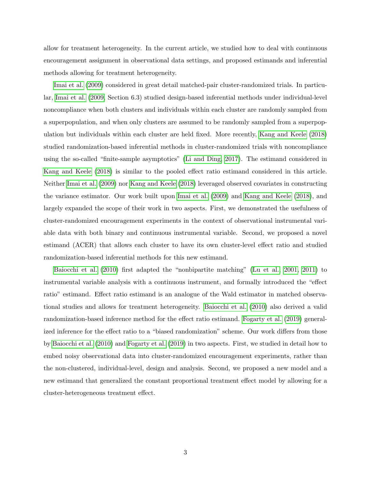allow for treatment heterogeneity. In the current article, we studied how to deal with continuous encouragement assignment in observational data settings, and proposed estimands and inferential methods allowing for treatment heterogeneity.

[Imai et al.](#page-23-0) [\(2009\)](#page-23-0) considered in great detail matched-pair cluster-randomized trials. In particular, [Imai et al.](#page-23-0) [\(2009,](#page-23-0) Section 6.3) studied design-based inferential methods under individual-level noncompliance when both clusters and individuals within each cluster are randomly sampled from a superpopulation, and when only clusters are assumed to be randomly sampled from a superpopulation but individuals within each cluster are held fixed. More recently, [Kang and Keele](#page-23-3) [\(2018\)](#page-23-3) studied randomization-based inferential methods in cluster-randomized trials with noncompliance using the so-called "finite-sample asymptotics" [\(Li and Ding, 2017\)](#page-23-8). The estimand considered in [Kang and Keele](#page-23-3) [\(2018\)](#page-23-3) is similar to the pooled effect ratio estimand considered in this article. Neither [Imai et al.](#page-23-0) [\(2009\)](#page-23-0) nor [Kang and Keele](#page-23-3) [\(2018\)](#page-23-3) leveraged observed covariates in constructing the variance estimator. Our work built upon [Imai et al.](#page-23-0) [\(2009\)](#page-23-0) and [Kang and Keele](#page-23-3) [\(2018\)](#page-23-3), and largely expanded the scope of their work in two aspects. First, we demonstrated the usefulness of cluster-randomized encouragement experiments in the context of observational instrumental variable data with both binary and continuous instrumental variable. Second, we proposed a novel estimand (ACER) that allows each cluster to have its own cluster-level effect ratio and studied randomization-based inferential methods for this new estimand.

[Baiocchi et al.](#page-20-0) [\(2010\)](#page-20-0) first adapted the "nonbipartite matching" [\(Lu et al., 2001,](#page-24-0) [2011\)](#page-23-1) to instrumental variable analysis with a continuous instrument, and formally introduced the "effect ratio" estimand. Effect ratio estimand is an analogue of the Wald estimator in matched observational studies and allows for treatment heterogeneity. [Baiocchi et al.](#page-20-0) [\(2010\)](#page-20-0) also derived a valid randomization-based inference method for the effect ratio estimand. [Fogarty et al.](#page-21-6) [\(2019\)](#page-21-6) generalized inference for the effect ratio to a "biased randomization" scheme. Our work differs from those by [Baiocchi et al.](#page-20-0) [\(2010\)](#page-20-0) and [Fogarty et al.](#page-21-6) [\(2019\)](#page-21-6) in two aspects. First, we studied in detail how to embed noisy observational data into cluster-randomized encouragement experiments, rather than the non-clustered, individual-level, design and analysis. Second, we proposed a new model and a new estimand that generalized the constant proportional treatment effect model by allowing for a cluster-heterogeneous treatment effect.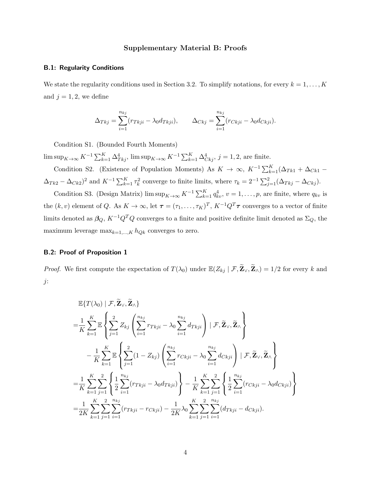## Supplementary Material B: Proofs

### B.1: Regularity Conditions

We state the regularity conditions used in Section 3.2. To simplify notations, for every  $k = 1, ..., K$ and  $j = 1, 2$ , we define

$$
\Delta_{Tkj} = \sum_{i=1}^{n_{kj}} (r_{Tkji} - \lambda_0 d_{Tkji}), \qquad \Delta_{Ckj} = \sum_{i=1}^{n_{kj}} (r_{Ckji} - \lambda_0 d_{Ckji}).
$$

Condition S1. (Bounded Fourth Moments)

 $\limsup_{K \to \infty} K^{-1} \sum_{k=1}^{K} \Delta_{Tkj}^4$ ,  $\limsup_{K \to \infty} K^{-1} \sum_{k=1}^{K} \Delta_{Ckj}^4$ ,  $j = 1, 2$ , are finite.

Condition S2. (Existence of Population Moments) As  $K \to \infty$ ,  $K^{-1} \sum_{k=1}^{K} (\Delta_{Tk1} + \Delta_{Ck1} (\Delta_{Tk2} - \Delta_{Ck2})^2$  and  $K^{-1} \sum_{k=1}^K \tau_k^2$  converge to finite limits, where  $\tau_k = 2^{-1} \sum_{j=1}^2 (\Delta_{Tkj} - \Delta_{Ckj})$ .

Condition S3. (Design Matrix)  $\limsup_{K\to\infty} K^{-1} \sum_{k=1}^K q_{kv}^4$ ,  $v=1,\ldots,p$ , are finite, where  $q_{kv}$  is the  $(k, v)$  element of Q. As  $K \to \infty$ , let  $\boldsymbol{\tau} = (\tau_1, \ldots, \tau_K)^T$ ,  $K^{-1}Q^T\boldsymbol{\tau}$  converges to a vector of finite limits denoted as  $\beta_Q$ ,  $K^{-1}Q^TQ$  converges to a finite and positive definite limit denoted as  $\Sigma_Q$ , the maximum leverage  $\max_{k=1,\dots,K} h_{Qk}$  converges to zero.

## B.2: Proof of Proposition 1

*Proof.* We first compute the expectation of  $T(\lambda_0)$  under  $\mathbb{E}(Z_{kj} | \mathcal{F}, \widetilde{\mathbf{Z}}_{\vee}, \widetilde{\mathbf{Z}}_{\wedge}) = 1/2$  for every k and j:

$$
\mathbb{E}\{T(\lambda_0) \mid \mathcal{F}, \widetilde{\mathbf{Z}}_{\vee}, \widetilde{\mathbf{Z}}_{\wedge}\}
$$
\n
$$
= \frac{1}{K} \sum_{k=1}^{K} \mathbb{E} \left\{ \sum_{j=1}^{2} Z_{kj} \left( \sum_{i=1}^{n_{kj}} r_{Tkji} - \lambda_0 \sum_{i=1}^{n_{kj}} d_{Tkji} \right) \mid \mathcal{F}, \widetilde{\mathbf{Z}}_{\vee}, \widetilde{\mathbf{Z}}_{\wedge} \right\}
$$
\n
$$
- \frac{1}{K} \sum_{k=1}^{K} \mathbb{E} \left\{ \sum_{j=1}^{2} (1 - Z_{kj}) \left( \sum_{i=1}^{n_{kj}} r_{Ckji} - \lambda_0 \sum_{i=1}^{n_{kj}} d_{Ckji} \right) \mid \mathcal{F}, \widetilde{\mathbf{Z}}_{\vee}, \widetilde{\mathbf{Z}}_{\wedge} \right\}
$$
\n
$$
= \frac{1}{K} \sum_{k=1}^{K} \sum_{j=1}^{2} \left\{ \frac{1}{2} \sum_{i=1}^{n_{kj}} (r_{Tkji} - \lambda_0 d_{Tkji}) \right\} - \frac{1}{K} \sum_{k=1}^{K} \sum_{j=1}^{2} \left\{ \frac{1}{2} \sum_{i=1}^{n_{kj}} (r_{Ckji} - \lambda_0 d_{Ckji}) \right\}
$$
\n
$$
= \frac{1}{2K} \sum_{k=1}^{K} \sum_{j=1}^{2} \sum_{i=1}^{n_{kj}} (r_{Tkji} - r_{Ckji}) - \frac{1}{2K} \lambda_0 \sum_{k=1}^{K} \sum_{j=1}^{2} \sum_{i=1}^{n_{kj}} (d_{Tkji} - d_{Ckji}).
$$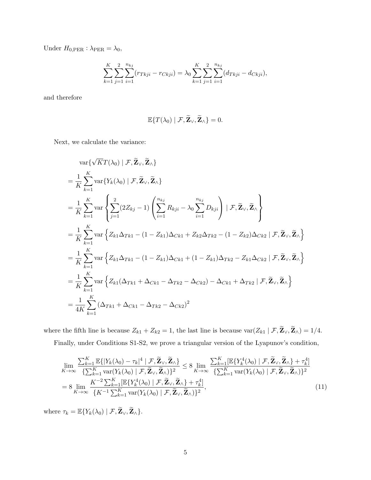Under  $H_{0,\text{PER}}$ :  $\lambda_{\text{PER}} = \lambda_0$ ,

$$
\sum_{k=1}^{K} \sum_{j=1}^{2} \sum_{i=1}^{n_{kj}} (r_{Tkji} - r_{Ckji}) = \lambda_0 \sum_{k=1}^{K} \sum_{j=1}^{2} \sum_{i=1}^{n_{kj}} (d_{Tkji} - d_{Ckji}),
$$

and therefore

$$
\mathbb{E}\{T(\lambda_0) \mid \mathcal{F}, \widetilde{\mathbf{Z}}_{\vee}, \widetilde{\mathbf{Z}}_{\wedge}\} = 0.
$$

Next, we calculate the variance:

$$
\begin{split}\n&\operatorname{var}\{\sqrt{K}T(\lambda_{0})\mid\mathcal{F},\widetilde{\mathbf{Z}}_{\vee},\widetilde{\mathbf{Z}}_{\wedge}\} \\
&=\frac{1}{K}\sum_{k=1}^{K}\operatorname{var}\{Y_{k}(\lambda_{0})\mid\mathcal{F},\widetilde{\mathbf{Z}}_{\vee},\widetilde{\mathbf{Z}}_{\wedge}\} \\
&=\frac{1}{K}\sum_{k=1}^{K}\operatorname{var}\left\{\sum_{j=1}^{2}(2Z_{kj}-1)\left(\sum_{i=1}^{n_{kj}}R_{kji}-\lambda_{0}\sum_{i=1}^{n_{kj}}D_{kji}\right)\mid\mathcal{F},\widetilde{\mathbf{Z}}_{\vee},\widetilde{\mathbf{Z}}_{\wedge}\right\} \\
&=\frac{1}{K}\sum_{k=1}^{K}\operatorname{var}\left\{Z_{k1}\Delta_{Tk1}-(1-Z_{k1})\Delta_{Ck1}+Z_{k2}\Delta_{Tk2}-(1-Z_{k2})\Delta_{Ck2}\mid\mathcal{F},\widetilde{\mathbf{Z}}_{\vee},\widetilde{\mathbf{Z}}_{\wedge}\right\} \\
&=\frac{1}{K}\sum_{k=1}^{K}\operatorname{var}\left\{Z_{k1}\Delta_{Tk1}-(1-Z_{k1})\Delta_{Ck1}+(1-Z_{k1})\Delta_{Tk2}-Z_{k1}\Delta_{Ck2}\mid\mathcal{F},\widetilde{\mathbf{Z}}_{\vee},\widetilde{\mathbf{Z}}_{\wedge}\right\} \\
&=\frac{1}{K}\sum_{k=1}^{K}\operatorname{var}\left\{Z_{k1}(\Delta_{Tk1}+\Delta_{Ck1}-\Delta_{Tk2}-\Delta_{Ck2})-\Delta_{Ck1}+\Delta_{Tk2}\mid\mathcal{F},\widetilde{\mathbf{Z}}_{\vee},\widetilde{\mathbf{Z}}_{\wedge}\right\} \\
&=\frac{1}{4K}\sum_{k=1}^{K}\left(\Delta_{Tk1}+\Delta_{Ck1}-\Delta_{Tk2}-\Delta_{Ck2}\right)^{2}\n\end{split}
$$

where the fifth line is because  $Z_{k1} + Z_{k2} = 1$ , the last line is because  $\text{var}(Z_{k1} | \mathcal{F}, \widetilde{\mathbf{Z}}_{\vee}, \widetilde{\mathbf{Z}}_{\wedge}) = 1/4$ . Finally, under Conditions S1-S2, we prove a triangular version of the Lyapunov's condition,

<span id="page-30-0"></span>
$$
\lim_{K \to \infty} \frac{\sum_{k=1}^{K} \mathbb{E}\{|Y_{k}(\lambda_{0}) - \tau_{k}|^{4} | \mathcal{F}, \widetilde{\mathbf{Z}}_{\vee}, \widetilde{\mathbf{Z}}_{\wedge}\}}{\{\sum_{k=1}^{K} \text{var}(Y_{k}(\lambda_{0}) | \mathcal{F}, \widetilde{\mathbf{Z}}_{\vee}, \widetilde{\mathbf{Z}}_{\wedge})\}^{2}} \le 8 \lim_{K \to \infty} \frac{\sum_{k=1}^{K} [\mathbb{E}\{Y_{k}^{4}(\lambda_{0}) | \mathcal{F}, \widetilde{\mathbf{Z}}_{\vee}, \widetilde{\mathbf{Z}}_{\wedge}\} + \tau_{k}^{4}]}{\{\sum_{k=1}^{K} \text{var}(Y_{k}(\lambda_{0}) | \mathcal{F}, \widetilde{\mathbf{Z}}_{\vee}, \widetilde{\mathbf{Z}}_{\wedge}\}^{2}}\}
$$
\n
$$
= 8 \lim_{K \to \infty} \frac{K^{-2} \sum_{k=1}^{K} [\mathbb{E}\{Y_{k}^{4}(\lambda_{0}) | \mathcal{F}, \widetilde{\mathbf{Z}}_{\vee}, \widetilde{\mathbf{Z}}_{\wedge}\} + \tau_{k}^{4}]}{\{K^{-1} \sum_{k=1}^{K} \text{var}(Y_{k}(\lambda_{0}) | \mathcal{F}, \widetilde{\mathbf{Z}}_{\vee}, \widetilde{\mathbf{Z}}_{\wedge}\}^{2}}, \tag{11}
$$

where  $\tau_k = \mathbb{E}\{Y_k(\lambda_0) \mid \mathcal{F}, \widetilde{\mathbf{Z}}_{\vee}, \widetilde{\mathbf{Z}}_{\wedge}\}.$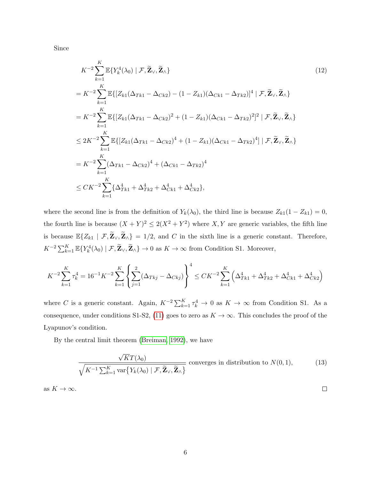Since

<span id="page-31-0"></span>
$$
K^{-2} \sum_{k=1}^{K} \mathbb{E} \{ Y_k^4(\lambda_0) \mid \mathcal{F}, \widetilde{\mathbf{Z}}_N, \widetilde{\mathbf{Z}}_N \}
$$
\n
$$
= K^{-2} \sum_{k=1}^{K} \mathbb{E} \{ [Z_{k1}(\Delta_{Tk1} - \Delta_{Ck2}) - (1 - Z_{k1})(\Delta_{Ck1} - \Delta_{Tk2})]^4 \mid \mathcal{F}, \widetilde{\mathbf{Z}}_N, \widetilde{\mathbf{Z}}_N \}
$$
\n
$$
= K^{-2} \sum_{k=1}^{K} \mathbb{E} \{ [Z_{k1}(\Delta_{Tk1} - \Delta_{Ck2})^2 + (1 - Z_{k1})(\Delta_{Ck1} - \Delta_{Tk2})^2]^2 \mid \mathcal{F}, \widetilde{\mathbf{Z}}_N, \widetilde{\mathbf{Z}}_N \}
$$
\n
$$
\leq 2K^{-2} \sum_{k=1}^{K} \mathbb{E} \{ [Z_{k1}(\Delta_{Tk1} - \Delta_{Ck2})^4 + (1 - Z_{k1})(\Delta_{Ck1} - \Delta_{Tk2})^4] \mid \mathcal{F}, \widetilde{\mathbf{Z}}_N, \widetilde{\mathbf{Z}}_N \}
$$
\n
$$
= K^{-2} \sum_{k=1}^{K} (\Delta_{Tk1} - \Delta_{Ck2})^4 + (\Delta_{Ck1} - \Delta_{Tk2})^4
$$
\n
$$
\leq CK^{-2} \sum_{k=1}^{K} {\{\Delta_{Tk1}^4 + \Delta_{Tk2}^4 + \Delta_{Ck1}^4 + \Delta_{Ck2}^4 \}},
$$
\n(12)

where the second line is from the definition of  $Y_k(\lambda_0)$ , the third line is because  $Z_{k1}(1 - Z_{k1}) = 0$ , the fourth line is because  $(X + Y)^2 \leq 2(X^2 + Y^2)$  where X, Y are generic variables, the fifth line is because  $\mathbb{E}\{Z_{k1} | \mathcal{F}, \widetilde{\mathbf{Z}}_{\vee}, \widetilde{\mathbf{Z}}_{\wedge}\} = 1/2$ , and C in the sixth line is a generic constant. Therefore,  $K^{-2}\sum_{k=1}^K \mathbb{E}\{Y_k^4(\lambda_0) \mid \mathcal{F}, \widetilde{\mathbf{Z}}_{\vee}, \widetilde{\mathbf{Z}}_{\wedge}\} \to 0$  as  $K \to \infty$  from Condition S1. Moreover,

$$
K^{-2} \sum_{k=1}^{K} \tau_k^4 = 16^{-1} K^{-2} \sum_{k=1}^{K} \left\{ \sum_{j=1}^{2} (\Delta_{Tkj} - \Delta_{Ckj}) \right\}^4 \leq C K^{-2} \sum_{k=1}^{K} \left( \Delta_{Tk1}^4 + \Delta_{Tk2}^4 + \Delta_{Ck1}^4 + \Delta_{Ck2}^4 \right)
$$

where C is a generic constant. Again,  $K^{-2}\sum_{k=1}^K \tau_k^4 \to 0$  as  $K \to \infty$  from Condition S1. As a consequence, under conditions S1-S2, [\(11\)](#page-30-0) goes to zero as  $K \to \infty$ . This concludes the proof of the Lyapunov's condition.

By the central limit theorem [\(Breiman, 1992\)](#page-21-9), we have

$$
\frac{\sqrt{K}T(\lambda_0)}{\sqrt{K^{-1}\sum_{k=1}^K \text{var}\{Y_k(\lambda_0) \mid \mathcal{F}, \widetilde{\mathbf{Z}}_V, \widetilde{\mathbf{Z}}_A\}}} \text{ converges in distribution to } N(0, 1),\tag{13}
$$

as  $K \to \infty$ .

 $\Box$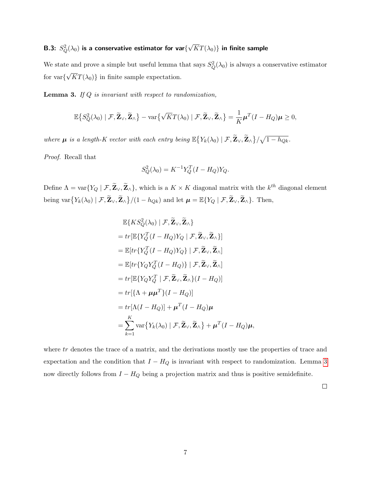#### B.3:  $S_Q^2(\lambda_0)$  is a conservative estimator for var $\{$ √  $KT(\lambda_0)\}$  in finite sample

We state and prove a simple but useful lemma that says  $S_Q^2(\lambda_0)$  is always a conservative estimator for var{ √  $KT(\lambda_0)$  in finite sample expectation.

<span id="page-32-0"></span>**Lemma 3.** If  $Q$  is invariant with respect to randomization,

$$
\mathbb{E}\big\{S_{Q}^{2}(\lambda_{0})\mid\mathcal{F},\widetilde{\mathbf{Z}}_{\vee},\widetilde{\mathbf{Z}}_{\wedge}\big\}-\text{var}\big\{\sqrt{K}T(\lambda_{0})\mid\mathcal{F},\widetilde{\mathbf{Z}}_{\vee},\widetilde{\mathbf{Z}}_{\wedge}\big\}=\frac{1}{K}\boldsymbol{\mu}^{T}(I-H_{Q})\boldsymbol{\mu}\geq 0,
$$

where  $\mu$  is a length-K vector with each entry being  $\mathbb{E}\big\{Y_k(\lambda_0) \mid \mathcal{F}, \widetilde{\mathbf{Z}}_{\vee}, \widetilde{\mathbf{Z}}_{\wedge}\big\}/\sqrt{1-h_{Qk}}$ .

Proof. Recall that

$$
S_Q^2(\lambda_0) = K^{-1} Y_Q^T (I - H_Q) Y_Q.
$$

Define  $\Lambda = \text{var}\{Y_Q \mid \mathcal{F}, \widetilde{\mathbf{Z}}_{\vee}, \widetilde{\mathbf{Z}}_{\wedge}\},\$  which is a  $K \times K$  diagonal matrix with the  $k^{th}$  diagonal element being var $\{Y_k(\lambda_0) \mid \mathcal{F}, \widetilde{\mathbf{Z}}_{\vee}, \widetilde{\mathbf{Z}}_{\wedge}\} / (1 - h_{Qk})$  and let  $\boldsymbol{\mu} = \mathbb{E}\{Y_Q \mid \mathcal{F}, \widetilde{\mathbf{Z}}_{\vee}, \widetilde{\mathbf{Z}}_{\wedge}\}$ . Then,

$$
\mathbb{E}\{KS_{Q}^{2}(\lambda_{0}) | \mathcal{F}, \widetilde{\mathbf{Z}}_{\vee}, \widetilde{\mathbf{Z}}_{\wedge}\}
$$
\n
$$
= tr[\mathbb{E}\{Y_{Q}^{T}(I - H_{Q})Y_{Q} | \mathcal{F}, \widetilde{\mathbf{Z}}_{\vee}, \widetilde{\mathbf{Z}}_{\wedge}\}]
$$
\n
$$
= \mathbb{E}[tr\{Y_{Q}^{T}(I - H_{Q})Y_{Q}\} | \mathcal{F}, \widetilde{\mathbf{Z}}_{\vee}, \widetilde{\mathbf{Z}}_{\wedge}]
$$
\n
$$
= \mathbb{E}[tr\{Y_{Q}Y_{Q}^{T}(I - H_{Q})\} | \mathcal{F}, \widetilde{\mathbf{Z}}_{\vee}, \widetilde{\mathbf{Z}}_{\wedge}]
$$
\n
$$
= tr[\mathbb{E}\{Y_{Q}Y_{Q}^{T} | \mathcal{F}, \widetilde{\mathbf{Z}}_{\vee}, \widetilde{\mathbf{Z}}_{\wedge}\} (I - H_{Q})]
$$
\n
$$
= tr[\{\Lambda + \mu\mu^{T}\} (I - H_{Q})]
$$
\n
$$
= tr[\Lambda(I - H_{Q})] + \mu^{T}(I - H_{Q})\mu
$$
\n
$$
= \sum_{k=1}^{K} \text{var}\{Y_{k}(\lambda_{0}) | \mathcal{F}, \widetilde{\mathbf{Z}}_{\vee}, \widetilde{\mathbf{Z}}_{\wedge}\} + \mu^{T}(I - H_{Q})\mu,
$$

where tr denotes the trace of a matrix, and the derivations mostly use the properties of trace and expectation and the condition that  $I - H_Q$  is invariant with respect to randomization. Lemma [3](#page-32-0) now directly follows from  $I - H_Q$  being a projection matrix and thus is positive semidefinite.

 $\Box$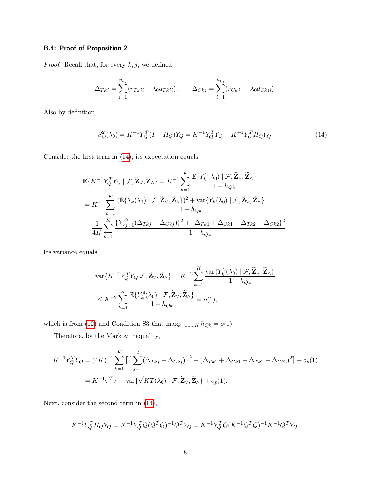## B.4: Proof of Proposition 2

 $Proof.$  Recall that, for every  $k,j,$  we defined

$$
\Delta_{Tkj} = \sum_{i=1}^{n_{kj}} (r_{Tkji} - \lambda_0 d_{Tkji}), \qquad \Delta_{Ckj} = \sum_{i=1}^{n_{kj}} (r_{Ckji} - \lambda_0 d_{Ckji}).
$$

Also by definition,

<span id="page-33-0"></span>
$$
S_Q^2(\lambda_0) = K^{-1} Y_Q^T (I - H_Q) Y_Q = K^{-1} Y_Q^T Y_Q - K^{-1} Y_Q^T H_Q Y_Q. \tag{14}
$$

Consider the first term in [\(14\)](#page-33-0), its expectation equals

$$
\mathbb{E}\{K^{-1}Y_Q^T Y_Q \mid \mathcal{F}, \widetilde{\mathbf{Z}}_{\vee}, \widetilde{\mathbf{Z}}_{\wedge}\} = K^{-1} \sum_{k=1}^K \frac{\mathbb{E}\{Y_k^2(\lambda_0) \mid \mathcal{F}, \widetilde{\mathbf{Z}}_{\vee}, \widetilde{\mathbf{Z}}_{\wedge}\}}{1 - h_{Qk}}
$$
\n
$$
= K^{-1} \sum_{k=1}^K \frac{(\mathbb{E}\{Y_k(\lambda_0) \mid \mathcal{F}, \widetilde{\mathbf{Z}}_{\vee}, \widetilde{\mathbf{Z}}_{\wedge}\})^2 + \text{var}\{Y_k(\lambda_0) \mid \mathcal{F}, \widetilde{\mathbf{Z}}_{\vee}, \widetilde{\mathbf{Z}}_{\wedge}\}}{1 - h_{Qk}}
$$
\n
$$
= \frac{1}{4K} \sum_{k=1}^K \frac{\{\sum_{j=1}^2 (\Delta_{Tkj} - \Delta_{Ckj})\}^2 + \{\Delta_{Tk1} + \Delta_{Ck1} - \Delta_{Tk2} - \Delta_{Ck2}\}^2}{1 - h_{Qk}}.
$$

Its variance equals

$$
\operatorname{var}\{K^{-1}Y_Q^TY_Q|\mathcal{F}, \widetilde{\mathbf{Z}}_{\vee}, \widetilde{\mathbf{Z}}_{\wedge}\} = K^{-2} \sum_{k=1}^K \frac{\operatorname{var}\{Y_k^2(\lambda_0) \mid \mathcal{F}, \widetilde{\mathbf{Z}}_{\vee}, \widetilde{\mathbf{Z}}_{\wedge}\}}{1 - h_{Qk}}
$$
  

$$
\leq K^{-2} \sum_{k=1}^K \frac{\mathbb{E}\{Y_k^4(\lambda_0) \mid \mathcal{F}, \widetilde{\mathbf{Z}}_{\vee}, \widetilde{\mathbf{Z}}_{\wedge}\}}{1 - h_{Qk}} = o(1),
$$

which is from [\(12\)](#page-31-0) and Condition S3 that  $\max_{k=1,\dots,K} h_{Qk} = o(1)$ .

Therefore, by the Markov inequality,

$$
K^{-1}Y_Q^T Y_Q = (4K)^{-1} \sum_{k=1}^K \left[ \left\{ \sum_{j=1}^2 (\Delta_{Tkj} - \Delta_{Ckj}) \right\}^2 + (\Delta_{Tk1} + \Delta_{Ck1} - \Delta_{Tk2} - \Delta_{Ck2})^2 \right] + o_p(1)
$$
  
=  $K^{-1} \tau^T \tau + \text{var}\{\sqrt{KT}(\lambda_0) \mid \mathcal{F}, \widetilde{\mathbf{Z}}_{\vee}, \widetilde{\mathbf{Z}}_{\wedge}\} + o_p(1).$ 

Next, consider the second term in [\(14\)](#page-33-0),

$$
K^{-1}Y_Q^T H_Q Y_Q = K^{-1}Y_Q^T Q (Q^T Q)^{-1} Q^T Y_Q = K^{-1}Y_Q^T Q (K^{-1} Q^T Q)^{-1} K^{-1} Q^T Y_Q.
$$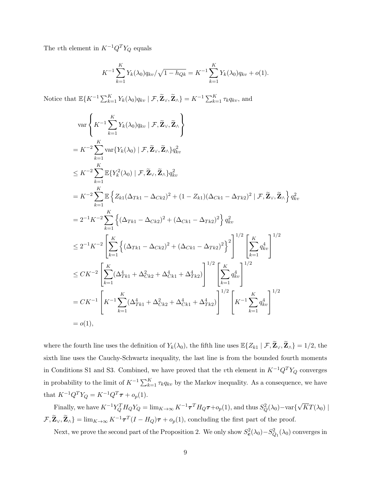The  $v$ th element in  $K^{-1}Q^TY_Q$  equals

$$
K^{-1} \sum_{k=1}^{K} Y_k(\lambda_0) q_{kv} / \sqrt{1 - h_{Qk}} = K^{-1} \sum_{k=1}^{K} Y_k(\lambda_0) q_{kv} + o(1).
$$

Notice that  $\mathbb{E}\{K^{-1}\sum_{k=1}^K Y_k(\lambda_0)q_{kv} \mid \mathcal{F}, \widetilde{\mathbf{Z}}_{\vee}, \widetilde{\mathbf{Z}}_{\wedge}\} = K^{-1}\sum_{k=1}^K \tau_k q_{kv}$ , and

$$
\begin{split}\n&\text{var}\left\{K^{-1}\sum_{k=1}^{K}Y_{k}(\lambda_{0})q_{kv} | \mathcal{F}, \widetilde{\mathbf{Z}}_{\vee}, \widetilde{\mathbf{Z}}_{\wedge}\right\} \\
&=K^{-2}\sum_{k=1}^{K} \text{var}\{Y_{k}(\lambda_{0}) | \mathcal{F}, \widetilde{\mathbf{Z}}_{\vee}, \widetilde{\mathbf{Z}}_{\wedge}\} q_{kv}^{2} \\
&\leq K^{-2}\sum_{k=1}^{K} \mathbb{E}\{Y_{k}^{2}(\lambda_{0}) | \mathcal{F}, \widetilde{\mathbf{Z}}_{\vee}, \widetilde{\mathbf{Z}}_{\wedge}\} q_{kv}^{2} \\
&=K^{-2}\sum_{k=1}^{K} \mathbb{E}\left\{Z_{k1}(\Delta_{Tk1} - \Delta_{Ck2})^{2} + (1 - Z_{k1})(\Delta_{Ck1} - \Delta_{Tk2})^{2} | \mathcal{F}, \widetilde{\mathbf{Z}}_{\vee}, \widetilde{\mathbf{Z}}_{\wedge}\right\} q_{kv}^{2} \\
&=2^{-1}K^{-2}\sum_{k=1}^{K} \left\{(\Delta_{Tk1} - \Delta_{Ck2})^{2} + (\Delta_{Ck1} - \Delta_{Tk2})^{2}\right\} q_{kv}^{2} \\
&\leq 2^{-1}K^{-2}\left[\sum_{k=1}^{K} \left\{(\Delta_{Tk1} - \Delta_{Ck2})^{2} + (\Delta_{Ck1} - \Delta_{Tk2})^{2}\right\}^{2}\right]^{1/2}\left[\sum_{k=1}^{K} q_{kv}^{4}\right]^{1/2} \\
&\leq CK^{-2}\left[\sum_{k=1}^{K} (\Delta_{Tk1}^{4} + \Delta_{Ck2}^{2} + \Delta_{Ck1}^{4} + \Delta_{Tk2}^{4})\right]^{1/2}\left[\sum_{k=1}^{K} q_{kv}^{4}\right]^{1/2} \\
&= CK^{-1}\left[K^{-1}\sum_{k=1}^{K} (\Delta_{Tk1}^{4} + \Delta_{Ck2}^{2} + \Delta_{Ck1}^{4} + \Delta_{Tk2}^{4})\right]^{1/2}\left[K^{-1}\sum_{k=1}^{K} q_{kv}^{4}\right]^{1/2} \\
&= o(1),\n\end{split}
$$

where the fourth line uses the definition of  $Y_k(\lambda_0)$ , the fifth line uses  $\mathbb{E}\{Z_{k1} | \mathcal{F}, \widetilde{\mathbf{Z}}_V, \widetilde{\mathbf{Z}}_A\} = 1/2$ , the sixth line uses the Cauchy-Schwartz inequality, the last line is from the bounded fourth moments in Conditions S1 and S3. Combined, we have proved that the vth element in  $K^{-1}Q^TY_Q$  converges in probability to the limit of  $K^{-1} \sum_{k=1}^{K} \tau_k q_{kv}$  by the Markov inequality. As a consequence, we have that  $K^{-1}Q^TY_Q = K^{-1}Q^T\tau + o_p(1)$ .

Finally, we have  $K^{-1}Y_Q^TH_QY_Q = \lim_{K\to\infty} K^{-1}\tau^TH_Q\tau + o_p(1)$ , and thus  $S_Q^2(\lambda_0) - \text{var}\{$ √  $KT(\lambda_0)\mid$  $\{\mathcal{F}, \widetilde{\mathbf{Z}}_{\vee}, \widetilde{\mathbf{Z}}_{\wedge}\} = \lim_{K \to \infty} K^{-1} \boldsymbol{\tau}^T (I - H_Q) \boldsymbol{\tau} + o_p(1)$ , concluding the first part of the proof.

Next, we prove the second part of the Proposition 2. We only show  $S_e^2(\lambda_0) - S_{Q_1}^2(\lambda_0)$  converges in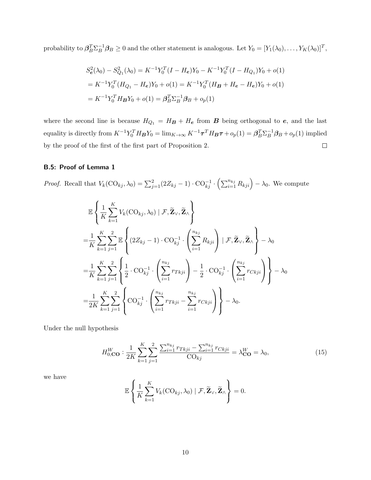probability to  $\beta_B^T \Sigma_B^{-1} \beta_B \ge 0$  and the other statement is analogous. Let  $Y_0 = [Y_1(\lambda_0), \dots, Y_K(\lambda_0)]^T$ ,

$$
S_e^2(\lambda_0) - S_{Q_1}^2(\lambda_0) = K^{-1} Y_0^T (I - H_e) Y_0 - K^{-1} Y_0^T (I - H_{Q_1}) Y_0 + o(1)
$$
  
=  $K^{-1} Y_0^T (H_{Q_1} - H_e) Y_0 + o(1) = K^{-1} Y_0^T (H_B + H_e - H_e) Y_0 + o(1)$   
=  $K^{-1} Y_0^T H_B Y_0 + o(1) = \beta_B^T \Sigma_B^{-1} \beta_B + o_p(1)$ 

where the second line is because  $H_{Q_1} = H_B + H_e$  from **B** being orthogonal to **e**, and the last equality is directly from  $K^{-1}Y_0^T H_B Y_0 = \lim_{K \to \infty} K^{-1} \tau^T H_B \tau + o_p(1) = \beta_B^T \Sigma_B^{-1} \beta_B + o_p(1)$  implied by the proof of the first of the first part of Proposition 2.  $\Box$ 

## B.5: Proof of Lemma 1

*Proof.* Recall that  $V_k(\text{CO}_{kj}, \lambda_0) = \sum_{j=1}^2 (2Z_{kj} - 1) \cdot \text{CO}_{kj}^{-1} \cdot (\sum_{i=1}^{n_{kj}} R_{kji}) - \lambda_0$ . We compute

$$
\mathbb{E}\left\{\frac{1}{K}\sum_{k=1}^{K}V_{k}(\text{CO}_{kj},\lambda_{0})\mid\mathcal{F},\widetilde{\mathbf{Z}}_{\vee},\widetilde{\mathbf{Z}}_{\wedge}\right\}
$$
\n
$$
=\frac{1}{K}\sum_{k=1}^{K}\sum_{j=1}^{2}\mathbb{E}\left\{(2Z_{kj}-1)\cdot\text{CO}_{kj}^{-1}\cdot\left(\sum_{i=1}^{n_{kj}}R_{kji}\right)\mid\mathcal{F},\widetilde{\mathbf{Z}}_{\vee},\widetilde{\mathbf{Z}}_{\wedge}\right\}-\lambda_{0}
$$
\n
$$
=\frac{1}{K}\sum_{k=1}^{K}\sum_{j=1}^{2}\left\{\frac{1}{2}\cdot\text{CO}_{kj}^{-1}\cdot\left(\sum_{i=1}^{n_{kj}}r_{Tkji}\right)-\frac{1}{2}\cdot\text{CO}_{kj}^{-1}\cdot\left(\sum_{i=1}^{n_{kj}}r_{Ckji}\right)\right\}-\lambda_{0}
$$
\n
$$
=\frac{1}{2K}\sum_{k=1}^{K}\sum_{j=1}^{2}\left\{\text{CO}_{kj}^{-1}\cdot\left(\sum_{i=1}^{n_{kj}}r_{Tkji}-\sum_{i=1}^{n_{kj}}r_{Ckji}\right)\right\}-\lambda_{0}.
$$

Under the null hypothesis

$$
H_{0,\mathbf{CO}}^W : \frac{1}{2K} \sum_{k=1}^K \sum_{j=1}^2 \frac{\sum_{i=1}^{n_{kj}} r_{Tkji} - \sum_{i=1}^{n_{kj}} r_{Ckji}}{\text{CO}_{kj}} = \lambda_{\mathbf{CO}}^W = \lambda_0,\tag{15}
$$

we have

$$
\mathbb{E}\left\{\frac{1}{K}\sum_{k=1}^{K}V_k(\text{CO}_{kj},\lambda_0)\mid\mathcal{F},\widetilde{\mathbf{Z}}_{\vee},\widetilde{\mathbf{Z}}_{\wedge}\right\}=0.
$$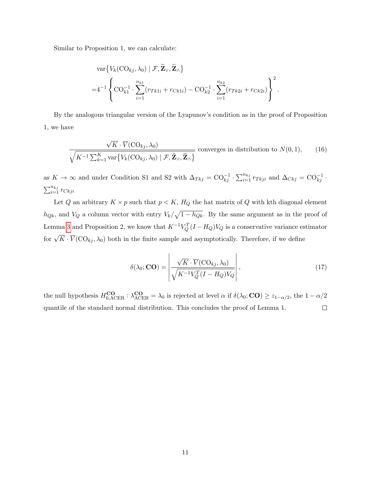Similar to Proposition 1, we can calculate:

$$
\operatorname{var}\left\{V_{k}(\operatorname{CO}_{kj}, \lambda_{0}) \mid \mathcal{F}, \widetilde{\mathbf{Z}}_{\vee}, \widetilde{\mathbf{Z}}_{\wedge}\right\}
$$
  
=4<sup>-1</sup> $\left\{\operatorname{CO}_{k1}^{-1} \cdot \sum_{i=1}^{n_{k1}} (r_{Tk1i} + r_{Ck1i}) - \operatorname{CO}_{k2}^{-1} \cdot \sum_{i=1}^{n_{k2}} (r_{Tk2i} + r_{Ck2i})\right\}^{2}.$ 

By the analogous triangular version of the Lyapunov's condition as in the proof of Proposition 1, we have

$$
\frac{\sqrt{K} \cdot \overline{V}(\text{CO}_{kj}, \lambda_0)}{\sqrt{K^{-1} \sum_{k=1}^{K} \text{var}\{V_k(\text{CO}_{kj}, \lambda_0) \mid \mathcal{F}, \widetilde{\mathbf{Z}}_{\vee}, \widetilde{\mathbf{Z}}_{\wedge}\}}} \text{ converges in distribution to } N(0, 1), \qquad (16)
$$

as  $K \to \infty$  and under Condition S1 and S2 with  $\Delta_{Tkj} = \text{CO}_{kj}^{-1} \cdot \sum_{i=1}^{n_{kj}} r_{Tkji}$  and  $\Delta_{Ckj} = \text{CO}_{kj}^{-1} \cdot$  $\sum_{i=1}^{n_{kj}} r_{Ckji}$ 

Let  $Q$  an arbitrary  $K \times p$  such that  $p < K$ ,  $H_Q$  the hat matrix of  $Q$  with kth diagonal element  $h_{Qk}$ , and  $V_Q$  a column vector with entry  $V_k/\sqrt{1-h_{Qk}}$ . By the same argument as in the proof of Lemma [3](#page-32-0) and Proposition 2, we know that  $K^{-1}V_Q^T(I-H_Q)V_Q$  is a conservative variance estimator for  $\sqrt{K} \cdot \overline{V}(\text{CO}_{kj}, \lambda_0)$  both in the finite sample and asymptotically. Therefore, if we define

$$
\delta(\lambda_0; \mathbf{CO}) = \left| \frac{\sqrt{K} \cdot \overline{V}(\mathbf{CO}_{kj}, \lambda_0)}{\sqrt{K^{-1}V_Q^T (I - H_Q)V_Q}} \right|,
$$
\n(17)

the null hypothesis  $H_{0,\text{ACER}}^{\text{CO}}$ :  $\lambda_{\text{ACER}}^{\text{CO}} = \lambda_0$  is rejected at level  $\alpha$  if  $\delta(\lambda_0;\text{CO}) \geq z_{1-\alpha/2}$ , the  $1-\alpha/2$ quantile of the standard normal distribution. This concludes the proof of Lemma 1.  $\Box$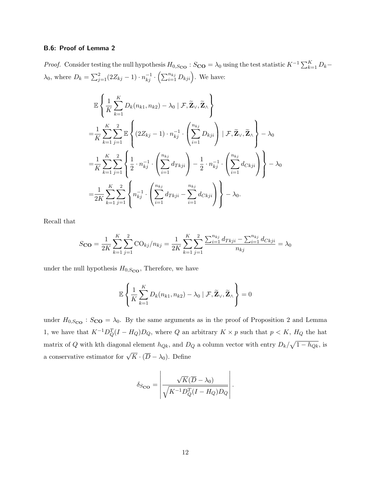## B.6: Proof of Lemma 2

*Proof.* Consider testing the null hypothesis  $H_{0, S<sub>CO</sub>}$ :  $S<sub>CO</sub> = \lambda_0$  using the test statistic  $K^{-1} \sum_{k=1}^{K} D_k$  $\lambda_0$ , where  $D_k = \sum_{j=1}^2 (2Z_{kj} - 1) \cdot n_{kj}^{-1} \cdot (\sum_{i=1}^{n_{kj}} D_{kji}).$  We have:

$$
\mathbb{E}\left\{\frac{1}{K}\sum_{k=1}^{K}D_{k}(n_{k1},n_{k2})-\lambda_{0} \mid \mathcal{F},\widetilde{\mathbf{Z}}_{\vee},\widetilde{\mathbf{Z}}_{\wedge}\right\} \n= \frac{1}{K}\sum_{k=1}^{K}\sum_{j=1}^{2}\mathbb{E}\left\{(2Z_{kj}-1)\cdot n_{kj}^{-1}\cdot\left(\sum_{i=1}^{n_{kj}}D_{kji}\right)\mid \mathcal{F},\widetilde{\mathbf{Z}}_{\vee},\widetilde{\mathbf{Z}}_{\wedge}\right\}-\lambda_{0} \n= \frac{1}{K}\sum_{k=1}^{K}\sum_{j=1}^{2}\left\{\frac{1}{2}\cdot n_{kj}^{-1}\cdot\left(\sum_{i=1}^{n_{kj}}d_{Tkji}\right)-\frac{1}{2}\cdot n_{kj}^{-1}\cdot\left(\sum_{i=1}^{n_{kj}}d_{Ckji}\right)\right\}-\lambda_{0} \n= \frac{1}{2K}\sum_{k=1}^{K}\sum_{j=1}^{2}\left\{n_{kj}^{-1}\cdot\left(\sum_{i=1}^{n_{kj}}d_{Tkji}-\sum_{i=1}^{n_{kj}}d_{Ckji}\right)\right\}-\lambda_{0}.
$$

Recall that

$$
S_{\mathbf{CO}} = \frac{1}{2K} \sum_{k=1}^{K} \sum_{j=1}^{2} \text{CO}_{kj} / n_{kj} = \frac{1}{2K} \sum_{k=1}^{K} \sum_{j=1}^{2} \frac{\sum_{i=1}^{n_{kj}} d_{Tkji} - \sum_{i=1}^{n_{kj}} d_{Ckji}}{n_{kj}} = \lambda_0
$$

under the null hypothesis  $H_{0, S<sub>CO</sub>}$ , Therefore, we have

$$
\mathbb{E}\left\{\frac{1}{K}\sum_{k=1}^{K}D_k(n_{k1},n_{k2})-\lambda_0\mid\mathcal{F},\widetilde{\mathbf{Z}}_{\vee},\widetilde{\mathbf{Z}}_{\wedge}\right\}=0
$$

under  $H_{0,S_{\text{CO}}}$ :  $S_{\text{CO}} = \lambda_0$ . By the same arguments as in the proof of Proposition 2 and Lemma 1, we have that  $K^{-1}D_Q^T(I - H_Q)D_Q$ , where Q an arbitrary  $K \times p$  such that  $p < K$ ,  $H_Q$  the hat matrix of Q with kth diagonal element  $h_{Qk}$ , and  $D_Q$  a column vector with entry  $D_k/\sqrt{1-h_{Qk}}$ , is a conservative estimator for  $\sqrt{K} \cdot (\overline{D} - \lambda_0)$ . Define

$$
\delta_{S_{\mathbf{CO}}} = \left| \frac{\sqrt{K}(\overline{D} - \lambda_0)}{\sqrt{K^{-1}D_Q^T(I - H_Q)D_Q}} \right|.
$$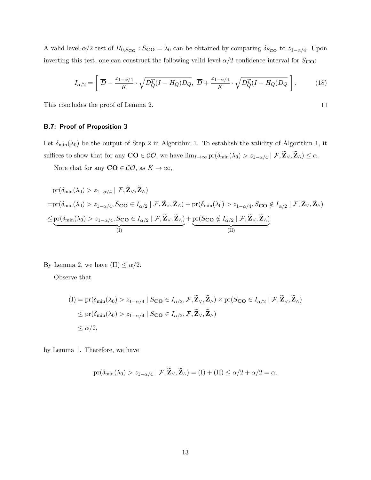A valid level- $\alpha/2$  test of  $H_{0,S_{\text{CO}}}$ :  $S_{\text{CO}} = \lambda_0$  can be obtained by comparing  $\delta_{S_{\text{CO}}}$  to  $z_{1-\alpha/4}$ . Upon inverting this test, one can construct the following valid level- $\alpha/2$  confidence interval for  $S_{\text{CO}}$ :

$$
I_{\alpha/2} = \left[ \overline{D} - \frac{z_{1-\alpha/4}}{K} \cdot \sqrt{D_Q^T (I - H_Q) D_Q}, \overline{D} + \frac{z_{1-\alpha/4}}{K} \cdot \sqrt{D_Q^T (I - H_Q) D_Q} \right].
$$
 (18)

This concludes the proof of Lemma 2.

## B.7: Proof of Proposition 3

Let  $\delta_{\min}(\lambda_0)$  be the output of Step 2 in Algorithm 1. To establish the validity of Algorithm 1, it suffices to show that for any  $\mathbf{CO} \in \mathcal{CO}$ , we have  $\lim_{I \to \infty} \text{pr}(\delta_{\min}(\lambda_0) > z_{1-\alpha/4} | \mathcal{F}, \mathbf{Z}_{\vee}, \mathbf{Z}_{\wedge}) \leq \alpha$ .

Note that for any  $\mathbf{CO} \in \mathcal{CO}$ , as  $K \to \infty$ ,

$$
\text{pr}(\delta_{\min}(\lambda_0) > z_{1-\alpha/4} | \mathcal{F}, \widetilde{\mathbf{Z}}_{\vee}, \widetilde{\mathbf{Z}}_{\wedge})
$$
\n
$$
= \text{pr}(\delta_{\min}(\lambda_0) > z_{1-\alpha/4}, S_{\mathbf{CO}} \in I_{\alpha/2} | \mathcal{F}, \widetilde{\mathbf{Z}}_{\vee}, \widetilde{\mathbf{Z}}_{\wedge}) + \text{pr}(\delta_{\min}(\lambda_0) > z_{1-\alpha/4}, S_{\mathbf{CO}} \notin I_{\alpha/2} | \mathcal{F}, \widetilde{\mathbf{Z}}_{\vee}, \widetilde{\mathbf{Z}}_{\wedge})
$$
\n
$$
\leq \underbrace{\text{pr}(\delta_{\min}(\lambda_0) > z_{1-\alpha/4}, S_{\mathbf{CO}} \in I_{\alpha/2} | \mathcal{F}, \widetilde{\mathbf{Z}}_{\vee}, \widetilde{\mathbf{Z}}_{\wedge})}_{\text{(I)}}
$$

By Lemma 2, we have (II)  $\leq \alpha/2.$ 

Observe that

$$
(I) = pr(\delta_{\min}(\lambda_0) > z_{1-\alpha/4} | S_{\mathbf{CO}} \in I_{\alpha/2}, \mathcal{F}, \mathbf{Z}_{\vee}, \mathbf{Z}_{\wedge}) \times pr(S_{\mathbf{CO}} \in I_{\alpha/2} | \mathcal{F}, \mathbf{Z}_{\vee}, \mathbf{Z}_{\wedge})
$$
  
\$\leq pr(\delta\_{\min}(\lambda\_0) > z\_{1-\alpha/4} | S\_{\mathbf{CO}} \in I\_{\alpha/2}, \mathcal{F}, \mathbf{Z}\_{\vee}, \mathbf{Z}\_{\wedge})\$  
\$\leq \alpha/2\$,

by Lemma 1. Therefore, we have

$$
\mathrm{pr}(\delta_{\min}(\lambda_0) > z_{1-\alpha/4} | \mathcal{F}, \mathbf{Z}_{\vee}, \mathbf{Z}_{\wedge}) = (\mathrm{I}) + (\mathrm{II}) \leq \alpha/2 + \alpha/2 = \alpha.
$$

 $\Box$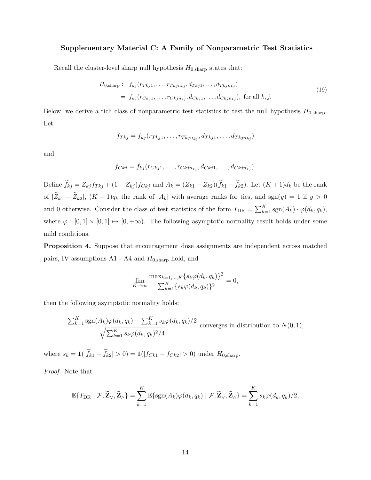## Supplementary Material C: A Family of Nonparametric Test Statistics

Recall the cluster-level sharp null hypothesis  $H_{0, \text{sharp}}$  states that:

$$
H_{0,\text{sharp}}: f_{kj}(r_{Tkj1},\ldots,r_{Tkjn_{kj}},d_{Tkj1},\ldots,d_{Tkjn_{kj}})
$$
  
=  $f_{kj}(r_{Ckj1},\ldots,r_{Ckjn_{kj}},d_{Ckj1},\ldots,d_{Ckjn_{kj}}),$  for all  $k,j$ . (19)

Below, we derive a rich class of nonparametric test statistics to test the null hypothesis  $H_{0,\text{sharp}}$ . Let

$$
f_{Tkj} = f_{kj}(r_{Tkj1},\ldots,r_{Tkjn_{kj}},d_{Tkj1},\ldots,d_{Tkjn_{kj}})
$$

and

$$
f_{Ckj}=f_{kj}(r_{Ckj1},\ldots,r_{Ckjn_{kj}},d_{Ckj1},\ldots,d_{Ckjn_{kj}}).
$$

Define  $f_{kj} = Z_{kj} f_{Tkj} + (1 - Z_{kj}) f_{Ckj}$  and  $A_k = (Z_{k1} - Z_{k2})(f_{k1} - f_{k2})$ . Let  $(K+1)d_k$  be the rank of  $|\widetilde{Z}_{k1} - \widetilde{Z}_{k2}|$ ,  $(K+1)q_k$  the rank of  $|A_k|$  with average ranks for ties, and sgn(y) = 1 if y > 0 and 0 otherwise. Consider the class of test statistics of the form  $T_{\text{DR}} = \sum_{k=1}^{K} \text{sgn}(A_k) \cdot \varphi(d_k, q_k)$ , where  $\varphi : [0,1] \times [0,1] \mapsto [0,+\infty)$ . The following asymptotic normality result holds under some mild conditions.

<span id="page-39-0"></span>Proposition 4. Suppose that encouragement dose assignments are independent across matched pairs, IV assumptions  $A1 - A4$  and  $H_{0,sharp}$  hold, and

$$
\lim_{K \to \infty} \frac{\max_{k=1,\dots,K} \{s_k \varphi(d_k, q_k)\}^2}{\sum_{k=1}^K \{s_k \varphi(d_k, q_k)\}^2} = 0,
$$

then the following asymptotic normality holds:

$$
\frac{\sum_{k=1}^{K} \text{sgn}(A_k) \varphi(d_k, q_k) - \sum_{k=1}^{K} s_k \varphi(d_k, q_k)/2}{\sqrt{\sum_{k=1}^{K} s_k \varphi(d_k, q_k)^2/4}} \text{ converges in distribution to } N(0, 1),
$$

where  $s_k = \mathbf{1}(|f_{k1} - f_{k2}| > 0) = \mathbf{1}(|f_{Ck1} - f_{Ck2}| > 0)$  under  $H_{0, \text{sharp}}$ .

Proof. Note that

$$
\mathbb{E}\{T_{\text{DR}} \mid \mathcal{F}, \widetilde{\mathbf{Z}}_{\vee}, \widetilde{\mathbf{Z}}_{\wedge}\} = \sum_{k=1}^{K} \mathbb{E}\{\text{sgn}(A_k)\varphi(d_k, q_k) \mid \mathcal{F}, \widetilde{\mathbf{Z}}_{\vee}, \widetilde{\mathbf{Z}}_{\wedge}\} = \sum_{k=1}^{K} s_k \varphi(d_k, q_k)/2,
$$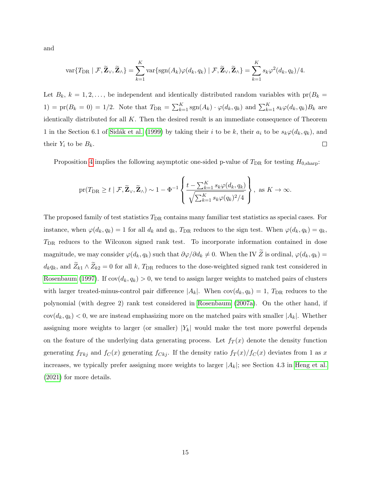and

$$
\text{var}\{T_{\text{DR}} \mid \mathcal{F}, \widetilde{\mathbf{Z}}_{\vee}, \widetilde{\mathbf{Z}}_{\wedge}\} = \sum_{k=1}^{K} \text{var}\{\text{sgn}(A_k)\varphi(d_k, q_k) \mid \mathcal{F}, \widetilde{\mathbf{Z}}_{\vee}, \widetilde{\mathbf{Z}}_{\wedge}\} = \sum_{k=1}^{K} s_k \varphi^2(d_k, q_k)/4.
$$

Let  $B_k$ ,  $k = 1, 2, \ldots$ , be independent and identically distributed random variables with  $pr(B_k =$ 1) = pr( $B_k = 0$ ) = 1/2. Note that  $T_{\text{DR}} = \sum_{k=1}^K \text{sgn}(A_k) \cdot \varphi(d_k, q_k)$  and  $\sum_{k=1}^K s_k \varphi(d_k, q_k) B_k$  are identically distributed for all  $K$ . Then the desired result is an immediate consequence of Theorem 1 in the Section 6.1 of Sidák et al. [\(1999\)](#page-25-12) by taking their i to be k, their  $a_i$  to be  $s_k\varphi(d_k, q_k)$ , and  $\Box$ their  $Y_i$  to be  $B_k$ .

Proposition [4](#page-39-0) implies the following asymptotic one-sided p-value of  $T_{\text{DR}}$  for testing  $H_{0,\text{sharp}}$ :

$$
\text{pr}(T_{\text{DR}} \geq t \mid \mathcal{F}, \widetilde{\mathbf{Z}}_{\vee}, \widetilde{\mathbf{Z}}_{\wedge}) \sim 1 - \Phi^{-1} \left\{ \frac{t - \sum_{k=1}^{K} s_k \varphi(d_k, q_k)}{\sqrt{\sum_{k=1}^{K} s_k \varphi(q_k)^2/4}} \right\}, \text{ as } K \to \infty.
$$

The proposed family of test statistics  $T_{\text{DR}}$  contains many familiar test statistics as special cases. For instance, when  $\varphi(d_k, q_k) = 1$  for all  $d_k$  and  $q_k$ ,  $T_{\text{DR}}$  reduces to the sign test. When  $\varphi(d_k, q_k) = q_k$ ,  $T<sub>DR</sub>$  reduces to the Wilcoxon signed rank test. To incorporate information contained in dose magnitude, we may consider  $\varphi(d_k, q_k)$  such that  $\partial \varphi/\partial d_k \neq 0$ . When the IV  $\widetilde{Z}$  is ordinal,  $\varphi(d_k, q_k) =$  $d_kq_k$ , and  $\widetilde{Z}_{k1}\wedge \widetilde{Z}_{k2}=0$  for all k,  $T_{\text{DR}}$  reduces to the dose-weighted signed rank test considered in [Rosenbaum](#page-24-7) [\(1997\)](#page-24-7). If  $cov(d_k, q_k) > 0$ , we tend to assign larger weights to matched pairs of clusters with larger treated-minus-control pair difference  $|A_k|$ . When  $cov(d_k, q_k) = 1$ ,  $T_{\text{DR}}$  reduces to the polynomial (with degree 2) rank test considered in [Rosenbaum](#page-24-8) [\(2007a\)](#page-24-8). On the other hand, if  $cov(d_k, q_k) < 0$ , we are instead emphasizing more on the matched pairs with smaller  $|A_k|$ . Whether assigning more weights to larger (or smaller)  $|Y_k|$  would make the test more powerful depends on the feature of the underlying data generating process. Let  $f_T(x)$  denote the density function generating  $f_{Tkj}$  and  $f_C(x)$  generating  $f_{Ckj}$ . If the density ratio  $f_T(x)/f_C(x)$  deviates from 1 as x increases, we typically prefer assigning more weights to larger  $|A_k|$ ; see Section 4.3 in [Heng et al.](#page-22-9) [\(2021\)](#page-22-9) for more details.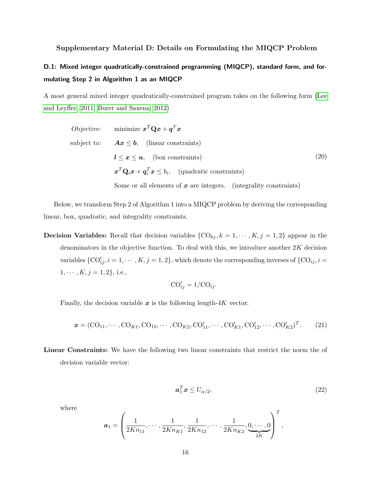## Supplementary Material D: Details on Formulating the MIQCP Problem

## D.1: Mixed integer quadratically-constrained programming (MIQCP), standard form, and formulating Step 2 in Algorithm 1 as an MIQCP

A most general mixed integer quadratically-constrained program takes on the following form [\(Lee](#page-23-9) [and Leyffer, 2011;](#page-23-9) [Burer and Saxena, 2012\)](#page-21-10)

Objective: minimize 
$$
\boldsymbol{x}^T \mathbf{Q} \boldsymbol{x} + \boldsymbol{q}^T \boldsymbol{x}
$$

\nsubject to:  $\boldsymbol{A} \boldsymbol{x} \leq \boldsymbol{b}$ , (linear constraints)

\n $\boldsymbol{l} \leq \boldsymbol{x} \leq \boldsymbol{u}$ , (box constraints)

\n $\boldsymbol{x}^T \mathbf{Q}_i \boldsymbol{x} + \boldsymbol{q}_i^T \boldsymbol{x} \leq b_i$ , (quadratic constraints)

\nSome or all elements of  $\boldsymbol{x}$  are integers. (integrality constraints)

Below, we transform Step 2 of Algorithm 1 into a MIQCP problem by deriving the corresponding linear, box, quadratic, and integrality constraints.

**Decision Variables:** Recall that decision variables  $\{CO_{kj}, k = 1, \dots, K, j = 1, 2\}$  appear in the denominators in the objective function. To deal with this, we introduce another  $2K$  decision variables  $\{CO'_{ij}, i = 1, \cdots, K, j = 1, 2\}$ , which denote the corresponding inverses of  $\{CO_{ij}, i =$  $1, \cdots, K, j = 1, 2$ , i.e.,

$$
CO'_{ij} = 1/CO_{ij}.
$$

Finally, the decision variable  $x$  is the following length-4K vector:

$$
\mathbf{x} = (\text{CO}_{11}, \cdots, \text{CO}_{K1}, \text{CO}_{12}, \cdots, \text{CO}_{K2}, \text{CO}'_{11}, \cdots, \text{CO}'_{K1}, \text{CO}'_{12}, \cdots, \text{CO}'_{K2})^T. \tag{21}
$$

Linear Constraints: We have the following two linear constraints that restrict the norm the of decision variable vector:

<span id="page-41-0"></span>
$$
a_1^T \mathbf{x} \le U_{\alpha/2},\tag{22}
$$

where

$$
a_1 = \left(\frac{1}{2Kn_{11}}, \dots, \frac{1}{2Kn_{K1}}, \frac{1}{2Kn_{12}}, \dots, \frac{1}{2Kn_{K2}}, 0, \dots, 0\right)^T,
$$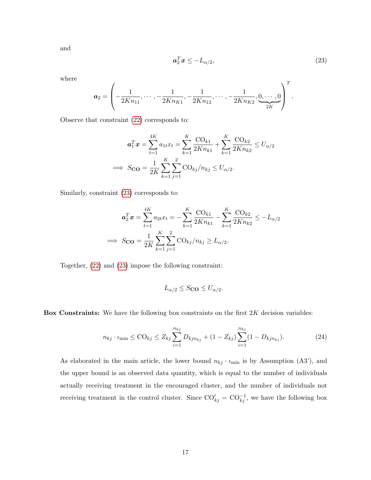and

<span id="page-42-0"></span>
$$
a_2^T \mathbf{x} \le -L_{\alpha/2},\tag{23}
$$

where

$$
a_2 = \left(-\frac{1}{2Kn_{11}}, \cdots, -\frac{1}{2Kn_{K1}}, -\frac{1}{2Kn_{12}}, \cdots, -\frac{1}{2Kn_{K2}}, \underbrace{0, \cdots, 0}_{2K}\right)^T.
$$

Observe that constraint [\(22\)](#page-41-0) corresponds to:

$$
a_1^T \mathbf{x} = \sum_{t=1}^{4K} a_{1t} x_t = \sum_{k=1}^{K} \frac{\text{CO}_{k1}}{2Kn_{k1}} + \sum_{k=1}^{K} \frac{\text{CO}_{k2}}{2Kn_{k2}} \le U_{\alpha/2}
$$
  
\n
$$
\implies S_{\text{CO}} = \frac{1}{2K} \sum_{k=1}^{K} \sum_{j=1}^{2} \text{CO}_{kj}/n_{kj} \le U_{\alpha/2}.
$$

Similarly, constraint [\(23\)](#page-42-0) corresponds to:

$$
a_2^T x = \sum_{t=1}^{4K} a_{2t} x_t = -\sum_{k=1}^{K} \frac{\text{CO}_{k1}}{2K n_{k1}} - \sum_{k=1}^{K} \frac{\text{CO}_{k2}}{2K n_{k2}} \le -L_{\alpha/2}
$$
  
\n
$$
\implies S_{\text{CO}} = \frac{1}{2K} \sum_{k=1}^{K} \sum_{j=1}^{2} \text{CO}_{kj} / n_{kj} \ge L_{\alpha/2}.
$$

Together, [\(22\)](#page-41-0) and [\(23\)](#page-42-0) impose the following constraint:

$$
L_{\alpha/2} \le S_{\mathbf{CO}} \le U_{\alpha/2}.
$$

Box Constraints: We have the following box constraints on the first  $2K$  decision variables:

$$
n_{kj} \cdot \iota_{\min} \leq \text{CO}_{kj} \leq Z_{kj} \sum_{i=1}^{n_{kj}} D_{kj n_{kj}} + (1 - Z_{kj}) \sum_{i=1}^{n_{kj}} (1 - D_{kj n_{kj}}). \tag{24}
$$

As elaborated in the main article, the lower bound  $n_{kj} \cdot \iota_{\min}$  is by Assumption (A3'), and the upper bound is an observed data quantity, which is equal to the number of individuals actually receiving treatment in the encouraged cluster, and the number of individuals not receiving treatment in the control cluster. Since  $\text{CO}_{kj}^{\prime} = \text{CO}_{kj}^{-1}$ , we have the following box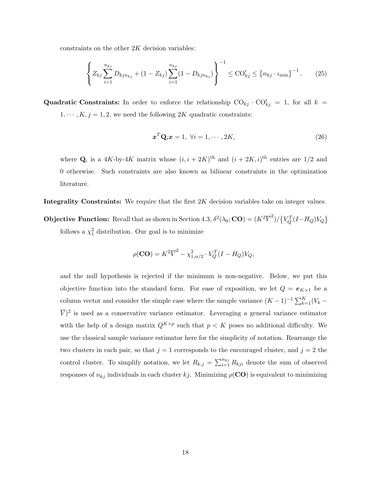constraints on the other  $2K$  decision variables:

$$
\left\{ Z_{kj} \sum_{i=1}^{n_{kj}} D_{kjn_{kj}} + (1 - Z_{kj}) \sum_{i=1}^{n_{kj}} (1 - D_{kjn_{kj}}) \right\}^{-1} \leq \text{CO}'_{kj} \leq \left\{ n_{kj} \cdot \iota_{\min} \right\}^{-1}.
$$
 (25)

**Quadratic Constraints:** In order to enforce the relationship  $CO_{kj} \cdot CO'_{kj} = 1$ , for all  $k =$  $1, \dots, K, j = 1, 2$ , we need the following 2K quadratic constraints:

$$
\boldsymbol{x}^T \mathbf{Q}_i \boldsymbol{x} = 1, \ \forall i = 1, \cdots, 2K,
$$
\n<sup>(26)</sup>

where  $\mathbf{Q}_i$  is a 4K-by-4K matrix whose  $(i, i + 2K)$ <sup>th</sup> and  $(i + 2K, i)$ <sup>th</sup> entries are 1/2 and 0 otherwise. Such constraints are also known as bilinear constraints in the optimization literature.

Integrality Constraints: We require that the first 2K decision variables take on integer values.

**Objective Function:** Recall that as shown in Section 4.3,  $\delta^2(\lambda_0; \mathbf{CO}) = (K^2 \overline{V}^2)/\left\{V_Q^T(I-H_Q)V_Q\right\}$ follows a  $\chi_1^2$  distribution. Our goal is to minimize

$$
\rho(\mathbf{CO}) = K^2 \overline{V}^2 - \chi^2_{1,\alpha/2} \cdot V_Q^T (I - H_Q) V_Q,
$$

and the null hypothesis is rejected if the minimum is non-negative. Below, we put this objective function into the standard form. For ease of exposition, we let  $Q = e_{K\times 1}$  be a column vector and consider the simple case where the sample variance  $(K-1)^{-1} \sum_{k=1}^{K} (V_k \overline{V}$ <sup>2</sup> is used as a conservative variance estimator. Leveraging a general variance estimator with the help of a design matrix  $Q^{K\times p}$  such that  $p < K$  poses no additional difficulty. We use the classical sample variance estimator here for the simplicity of notation. Rearrange the two clusters in each pair, so that  $j = 1$  corresponds to the encouraged cluster, and  $j = 2$  the control cluster. To simplify notation, we let  $R_{k,j} = \sum_{i=1}^{n_{kj}} R_{kji}$  denote the sum of observed responses of  $n_{kj}$  individuals in each cluster kj. Minimizing  $\rho(CO)$  is equivalent to minimizing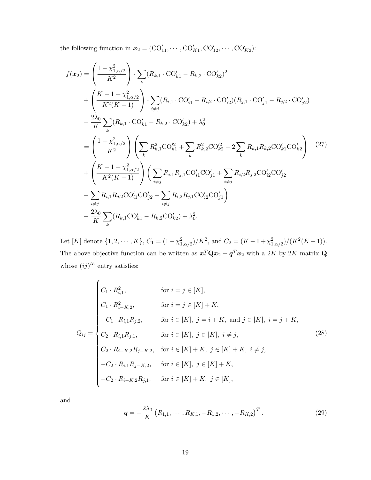the following function in  $x_2 = (CO'_{11}, \cdots, CO'_{K1}, CO'_{12}, \cdots, CO'_{K2})$ :

$$
f(x_2) = \left(\frac{1 - \chi_{1,\alpha/2}^2}{K^2}\right) \cdot \sum_k (R_{k,1} \cdot \text{CO}'_{k,1} - R_{k,2} \cdot \text{CO}'_{k,2})^2
$$
  
+ 
$$
\left(\frac{K - 1 + \chi_{1,\alpha/2}^2}{K^2(K - 1)}\right) \cdot \sum_{i \neq j} (R_{i,1} \cdot \text{CO}'_{i,1} - R_{i,2} \cdot \text{CO}'_{i,2}) (R_{j,1} \cdot \text{CO}'_{j,1} - R_{j,2} \cdot \text{CO}'_{j,2})
$$
  
- 
$$
\frac{2\lambda_0}{K} \sum_k (R_{k,1} \cdot \text{CO}'_{k,1} - R_{k,2} \cdot \text{CO}'_{k,2}) + \lambda_0^2
$$
  
= 
$$
\left(\frac{1 - \chi_{1,\alpha/2}^2}{K^2}\right) \left(\sum_k R_{k,1}^2 \text{CO}'_{k,1}^2 + \sum_k R_{k,2}^2 \text{CO}'_{k,2}^2 - 2 \sum_k R_{k,1} R_{k,2} \text{CO}'_{k,1} \text{CO}'_{k,2}\right) (27)
$$
  
+ 
$$
\left(\frac{K - 1 + \chi_{1,\alpha/2}^2}{K^2(K - 1)}\right) \left(\sum_{i \neq j} R_{i,1} R_{j,1} \text{CO}'_{i,1} \text{CO}'_{j,1} + \sum_{i \neq j} R_{i,2} R_{j,2} \text{CO}'_{i,2} \text{CO}'_{j,2}\right)
$$
  
- 
$$
\sum_{i \neq j} R_{i,1} R_{j,2} \text{CO}'_{i,1} \text{CO}'_{j,2} - \sum_{i \neq j} R_{i,2} R_{j,1} \text{CO}'_{i,2} \text{CO}'_{j,1}\right)
$$
  
- 
$$
\frac{2\lambda_0}{K} \sum_k (R_{k,1} \text{CO}'_{k,1} - R_{k,2} \text{CO}'_{k,2}) + \lambda_0^2.
$$

Let [K] denote  $\{1, 2, \cdots, K\}$ ,  $C_1 = (1 - \chi_{1, \alpha/2}^2)/K^2$ , and  $C_2 = (K - 1 + \chi_{1, \alpha/2}^2)/(K^2(K - 1))$ . The above objective function can be written as  $x_2^T \mathbf{Q} x_2 + \boldsymbol{q}^T x_2$  with a 2K-by-2K matrix  $\mathbf{Q}$ whose  $(ij)^{th}$  entry satisfies:

<span id="page-44-0"></span>
$$
Q_{ij} = \begin{cases} C_1 \cdot R_{i,1}^2, & \text{for } i = j \in [K], \\ C_1 \cdot R_{i-K,2}^2, & \text{for } i = j \in [K] + K, \\ -C_1 \cdot R_{i,1}R_{j,2}, & \text{for } i \in [K], j = i + K, \text{ and } j \in [K], i = j + K, \\ C_2 \cdot R_{i,1}R_{j,1}, & \text{for } i \in [K], j \in [K], i \neq j, \\ C_2 \cdot R_{i-K,2}R_{j-K,2}, & \text{for } i \in [K] + K, j \in [K] + K, i \neq j, \\ -C_2 \cdot R_{i,1}R_{j-K,2}, & \text{for } i \in [K], j \in [K] + K, \\ -C_2 \cdot R_{i-K,2}R_{j,1}, & \text{for } i \in [K] + K, j \in [K], \end{cases}
$$
(28)

and

$$
\mathbf{q} = -\frac{2\lambda_0}{K} \left( R_{1,1}, \cdots, R_{K,1}, -R_{1,2}, \cdots, -R_{K,2} \right)^T.
$$
 (29)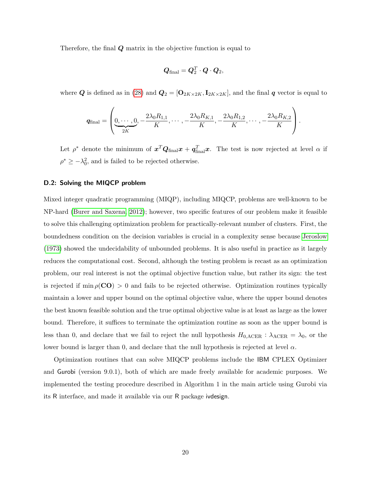Therefore, the final  $Q$  matrix in the objective function is equal to

$$
\boldsymbol{Q}_\text{final} = \boldsymbol{Q}_2^T \cdot \boldsymbol{Q} \cdot \boldsymbol{Q}_2,
$$

where Q is defined as in [\(28\)](#page-44-0) and  $Q_2 = [\mathbf{O}_{2K \times 2K}, \mathbf{I}_{2K \times 2K}]$ , and the final q vector is equal to

$$
\boldsymbol{q}_{\text{final}} = \left(\underbrace{0, \cdots, 0}_{2K}, -\frac{2\lambda_0 R_{1,1}}{K}, \cdots, -\frac{2\lambda_0 R_{K,1}}{K}, -\frac{2\lambda_0 R_{1,2}}{K}, \cdots, -\frac{2\lambda_0 R_{K,2}}{K}\right).
$$

Let  $\rho^*$  denote the minimum of  $x^T Q_{final} x + q_{final}^T x$ . The test is now rejected at level  $\alpha$  if  $\rho^* \geq -\lambda_0^2$ , and is failed to be rejected otherwise.

## D.2: Solving the MIQCP problem

Mixed integer quadratic programming (MIQP), including MIQCP, problems are well-known to be NP-hard [\(Burer and Saxena, 2012\)](#page-21-10); however, two specific features of our problem make it feasible to solve this challenging optimization problem for practically-relevant number of clusters. First, the boundedness condition on the decision variables is crucial in a complexity sense because [Jeroslow](#page-23-10) [\(1973\)](#page-23-10) showed the undecidability of unbounded problems. It is also useful in practice as it largely reduces the computational cost. Second, although the testing problem is recast as an optimization problem, our real interest is not the optimal objective function value, but rather its sign: the test is rejected if min  $\rho(\mathbf{CO}) > 0$  and fails to be rejected otherwise. Optimization routines typically maintain a lower and upper bound on the optimal objective value, where the upper bound denotes the best known feasible solution and the true optimal objective value is at least as large as the lower bound. Therefore, it suffices to terminate the optimization routine as soon as the upper bound is less than 0, and declare that we fail to reject the null hypothesis  $H_{0,\text{ACER}}$  :  $\lambda_{\text{ACER}} = \lambda_0$ , or the lower bound is larger than 0, and declare that the null hypothesis is rejected at level  $\alpha$ .

Optimization routines that can solve MIQCP problems include the IBM CPLEX Optimizer and Gurobi (version 9.0.1), both of which are made freely available for academic purposes. We implemented the testing procedure described in Algorithm 1 in the main article using Gurobi via its R interface, and made it available via our R package ivdesign.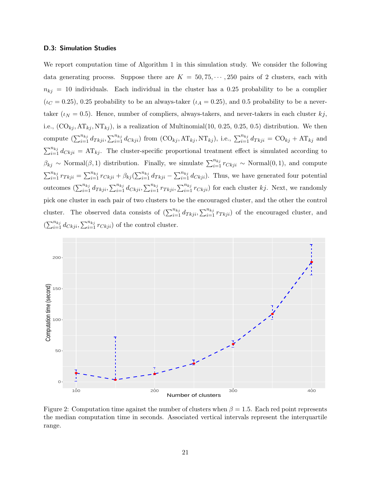#### D.3: Simulation Studies

We report computation time of Algorithm 1 in this simulation study. We consider the following data generating process. Suppose there are  $K = 50, 75, \cdots, 250$  pairs of 2 clusters, each with  $n_{kj} = 10$  individuals. Each individual in the cluster has a 0.25 probability to be a complier  $(\iota_C = 0.25)$ , 0.25 probability to be an always-taker  $(\iota_A = 0.25)$ , and 0.5 probability to be a nevertaker ( $\iota_N = 0.5$ ). Hence, number of compliers, always-takers, and never-takers in each cluster  $kj$ , i.e.,  $(CO_{kj}, AT_{kj}, NT_{kj})$ , is a realization of Multinomial(10, 0.25, 0.25, 0.5) distribution. We then compute  $\left(\sum_{i=1}^{n_{kj}} d_{Tkji}, \sum_{i=1}^{n_{kj}} d_{Ckji}\right)$  from  $(\text{CO}_{kj}, \text{AT}_{kj}, \text{NT}_{kj})$ , i.e.,  $\sum_{i=1}^{n_{kj}} d_{Tkji} = \text{CO}_{kj} + \text{AT}_{kj}$  and  $\sum_{i=1}^{n_{kj}} d_{Ckji} = AT_{kj}$ . The cluster-specific proportional treatment effect is simulated according to  $\beta_{kj} \sim \text{Normal}(\beta, 1)$  distribution. Finally, we simulate  $\sum_{i=1}^{n_{kj}} r_{Ckji} \sim \text{Normal}(0, 1)$ , and compute  $\sum_{i=1}^{n_{kj}} r_{Tkji} = \sum_{i=1}^{n_{kj}} r_{Ckji} + \beta_{kj} (\sum_{i=1}^{n_{kj}} d_{Tkji} - \sum_{i=1}^{n_{kj}} d_{Ckji}).$  Thus, we have generated four potential outcomes  $\left(\sum_{i=1}^{n_{kj}} d_{Tkji}, \sum_{i=1}^{n_{kj}} d_{Ckji}, \sum_{i=1}^{n_{kj}} r_{Tkji}, \sum_{i=1}^{n_{kj}} r_{Ckji}\right)$  for each cluster  $kj$ . Next, we randomly pick one cluster in each pair of two clusters to be the encouraged cluster, and the other the control cluster. The observed data consists of  $\left(\sum_{i=1}^{n_{kj}} d_{Tkji}, \sum_{i=1}^{n_{kj}} r_{Tkji}\right)$  of the encouraged cluster, and  $(\sum_{i=1}^{n_{kj}} d_{Ckji}, \sum_{i=1}^{n_{kj}} r_{Ckji})$  of the control cluster.



Figure 2: Computation time against the number of clusters when  $\beta = 1.5$ . Each red point represents the median computation time in seconds. Associated vertical intervals represent the interquartile range.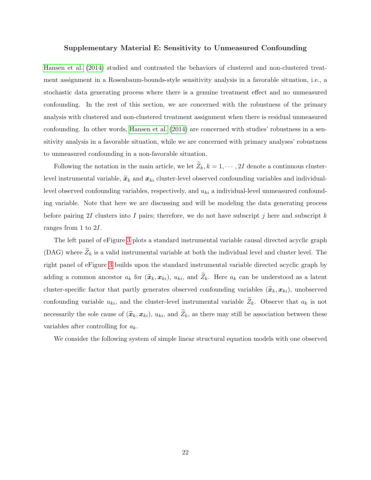## Supplementary Material E: Sensitivity to Unmeasured Confounding

[Hansen et al.](#page-22-3) [\(2014\)](#page-22-3) studied and contrasted the behaviors of clustered and non-clustered treatment assignment in a Rosenbaum-bounds-style sensitivity analysis in a favorable situation, i.e., a stochastic data generating process where there is a genuine treatment effect and no unmeasured confounding. In the rest of this section, we are concerned with the robustness of the primary analysis with clustered and non-clustered treatment assignment when there is residual unmeasured confounding. In other words, [Hansen et al.](#page-22-3) [\(2014\)](#page-22-3) are concerned with studies' robustness in a sensitivity analysis in a favorable situation, while we are concerned with primary analyses' robustness to unmeasured confounding in a non-favorable situation.

Following the notation in the main article, we let  $\widetilde{Z}_k, k = 1, \cdots, 2I$  denote a continuous clusterlevel instrumental variable,  $\tilde{x}_k$  and  $x_{ki}$  cluster-level observed confounding variables and individuallevel observed confounding variables, respectively, and  $u_{ki}$  a individual-level unmeasured confounding variable. Note that here we are discussing and will be modeling the data generating process before pairing 2I clusters into I pairs; therefore, we do not have subscript j here and subscript  $k$ ranges from 1 to 2I.

The left panel of eFigure [3](#page-48-0) plots a standard instrumental variable causal directed acyclic graph (DAG) where  $\widetilde{Z}_k$  is a valid instrumental variable at both the individual level and cluster level. The right panel of eFigure [3](#page-48-0) builds upon the standard instrumental variable directed acyclic graph by adding a common ancestor  $a_k$  for  $(\tilde{\boldsymbol{x}}_k, \boldsymbol{x}_{ki}), u_{ki}$ , and  $\tilde{Z}_k$ . Here  $a_k$  can be understood as a latent cluster-specific factor that partly generates observed confounding variables  $(\widetilde{x}_k, x_{ki})$ , unobserved confounding variable  $u_{ki}$ , and the cluster-level instrumental variable  $\widetilde{Z}_k$ . Observe that  $a_k$  is not necessarily the sole cause of  $(\tilde{x}_k, x_{ki}), u_{ki}$ , and  $\tilde{Z}_k$ , as there may still be association between these variables after controlling for  $a_k$ .

We consider the following system of simple linear structural equation models with one observed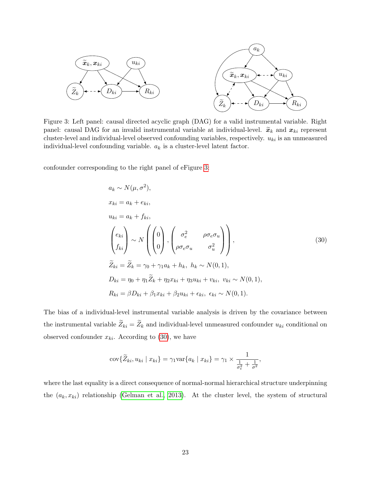<span id="page-48-0"></span>

Figure 3: Left panel: causal directed acyclic graph (DAG) for a valid instrumental variable. Right panel: causal DAG for an invalid instrumental variable at individual-level.  $\tilde{x}_k$  and  $x_{ki}$  represent cluster-level and individual-level observed confounding variables, respectively.  $u_{ki}$  is an unmeasured individual-level confounding variable.  $a_k$  is a cluster-level latent factor.

<span id="page-48-1"></span>confounder corresponding to the right panel of eFigure [3:](#page-48-0)

$$
a_k \sim N(\mu, \sigma^2),
$$
  
\n
$$
x_{ki} = a_k + e_{ki},
$$
  
\n
$$
\begin{pmatrix} e_{ki} \\ f_{ki} \end{pmatrix} \sim N \begin{pmatrix} 0 \\ 0 \\ 0 \end{pmatrix}, \begin{pmatrix} \sigma_e^2 & \rho \sigma_e \sigma_u \\ \rho \sigma_e \sigma_u & \sigma_u^2 \end{pmatrix},
$$
  
\n
$$
\widetilde{Z}_{ki} = \widetilde{Z}_k = \gamma_0 + \gamma_1 a_k + h_k, \quad h_k \sim N(0, 1),
$$
  
\n
$$
D_{ki} = \eta_0 + \eta_1 \widetilde{Z}_k + \eta_2 x_{ki} + \eta_3 u_{ki} + v_{ki}, \quad v_{ki} \sim N(0, 1),
$$
  
\n
$$
R_{ki} = \beta D_{ki} + \beta_1 x_{ki} + \beta_2 u_{ki} + \epsilon_{ki}, \quad \epsilon_{ki} \sim N(0, 1).
$$
\n(30)

The bias of a individual-level instrumental variable analysis is driven by the covariance between the instrumental variable  $\widetilde{Z}_{ki} = \widetilde{Z}_k$  and individual-level unmeasured confounder  $u_{ki}$  conditional on observed confounder  $x_{ki}$ . According to [\(30\)](#page-48-1), we have

$$
cov{\widetilde{Z}_{ki}, u_{ki} \mid x_{ki}} = \gamma_1 var{a_k \mid x_{ki}} = \gamma_1 \times \frac{1}{\frac{1}{\sigma_e^2} + \frac{1}{\sigma^2}},
$$

where the last equality is a direct consequence of normal-normal hierarchical structure underpinning the  $(a_k, x_{ki})$  relationship [\(Gelman et al., 2013\)](#page-22-10). At the cluster level, the system of structural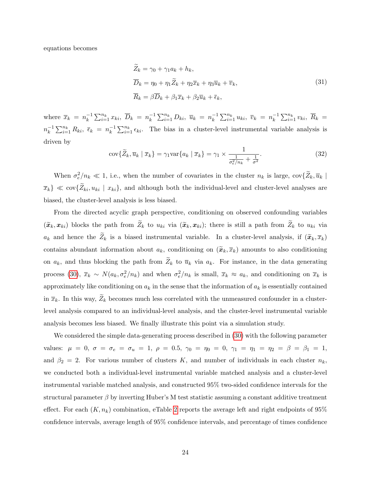equations becomes

$$
\widetilde{Z}_k = \gamma_0 + \gamma_1 a_k + h_k,
$$
\n
$$
\overline{D}_k = \eta_0 + \eta_1 \widetilde{Z}_k + \eta_2 \overline{x}_k + \eta_3 \overline{u}_k + \overline{v}_k,
$$
\n
$$
\overline{R}_k = \beta \overline{D}_k + \beta_1 \overline{x}_k + \beta_2 \overline{u}_k + \overline{\epsilon}_k,
$$
\n(31)

where  $\overline{x}_k = n_k^{-1}$  $\sum_{i=1}^{-1} \sum_{i=1}^{n_k} x_{ki}, \ \overline{D}_k = n_k^{-1}$  $\sum_{i=1}^{n} D_{ki}, \overline{u}_k = n_k^{-1}$  $\sum_{k=1}^{n} u_{ki}, \overline{v}_k = n_k^{-1}$  $\sum_{i=1}^{-1} \sum_{i=1}^{n_k} v_{ki}, \ \overline{R}_k =$  $n_k^{-1}$  $\sum_{i=1}^{-1} \sum_{i=1}^{n_k} R_{ki}, \ \bar{\epsilon}_k = n_k^{-1}$  $\sum_{k=1}^{n_k} \epsilon_{ki}$ . The bias in a cluster-level instrumental variable analysis is driven by

<span id="page-49-0"></span>
$$
cov\{\widetilde{Z}_k, \overline{u}_k \mid \overline{x}_k\} = \gamma_1 var\{a_k \mid \overline{x}_k\} = \gamma_1 \times \frac{1}{\frac{1}{\sigma_e^2/n_k} + \frac{1}{\sigma^2}}.
$$
\n(32)

When  $\sigma_e^2/n_k \ll 1$ , i.e., when the number of covariates in the cluster  $n_k$  is large,  $\text{cov}\{\widetilde{Z}_k, \overline{u}_k\}$  $\{\overline{x}_k\} \ll \text{cov}\{\widetilde{Z}_{ki}, u_{ki} \mid x_{ki}\},$  and although both the individual-level and cluster-level analyses are biased, the cluster-level analysis is less biased.

From the directed acyclic graph perspective, conditioning on observed confounding variables  $(\widetilde{\boldsymbol{x}}_k, \boldsymbol{x}_{ki})$  blocks the path from  $\widetilde{Z}_k$  to  $u_{ki}$  via  $(\widetilde{\boldsymbol{x}}_k, \boldsymbol{x}_{ki})$ ; there is still a path from  $\widetilde{Z}_k$  to  $u_{ki}$  via  $a_k$  and hence the  $\widetilde{Z}_k$  is a biased instrumental variable. In a cluster-level analysis, if  $(\widetilde{x}_k, \overline{x}_k)$ contains abundant information about  $a_k$ , conditioning on  $(\widetilde{\boldsymbol{x}}_k, \overline{\boldsymbol{x}}_k)$  amounts to also conditioning on  $a_k$ , and thus blocking the path from  $\widetilde{Z}_k$  to  $\overline{u}_k$  via  $a_k$ . For instance, in the data generating process [\(30\)](#page-48-1),  $\bar{x}_k \sim N(a_k, \sigma_e^2/n_k)$  and when  $\sigma_e^2/n_k$  is small,  $\bar{x}_k \approx a_k$ , and conditioning on  $\bar{x}_k$  is approximately like conditioning on  $a_k$  in the sense that the information of  $a_k$  is essentially contained in  $\bar{x}_k$ . In this way,  $\tilde{Z}_k$  becomes much less correlated with the unmeasured confounder in a clusterlevel analysis compared to an individual-level analysis, and the cluster-level instrumental variable analysis becomes less biased. We finally illustrate this point via a simulation study.

We considered the simple data-generating process described in [\(30\)](#page-48-1) with the following parameter values:  $\mu = 0$ ,  $\sigma = \sigma_e = \sigma_u = 1$ ,  $\rho = 0.5$ ,  $\gamma_0 = \eta_0 = 0$ ,  $\gamma_1 = \eta_1 = \eta_2 = \beta = \beta_1 = 1$ , and  $\beta_2 = 2$ . For various number of clusters K, and number of individuals in each cluster  $n_k$ , we conducted both a individual-level instrumental variable matched analysis and a cluster-level instrumental variable matched analysis, and constructed 95% two-sided confidence intervals for the structural parameter  $\beta$  by inverting Huber's M test statistic assuming a constant additive treatment effect. For each  $(K, n_k)$  combination, eTable [2](#page-50-0) reports the average left and right endpoints of 95% confidence intervals, average length of 95% confidence intervals, and percentage of times confidence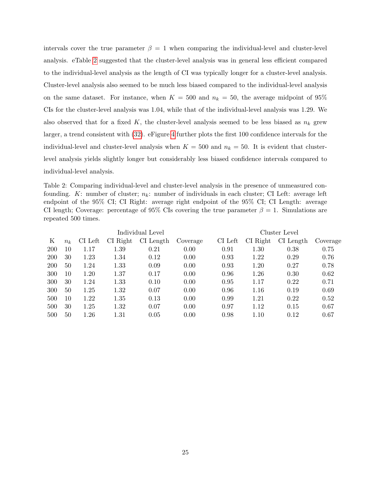intervals cover the true parameter  $\beta = 1$  when comparing the individual-level and cluster-level analysis. eTable [2](#page-50-0) suggested that the cluster-level analysis was in general less efficient compared to the individual-level analysis as the length of CI was typically longer for a cluster-level analysis. Cluster-level analysis also seemed to be much less biased compared to the individual-level analysis on the same dataset. For instance, when  $K = 500$  and  $n_k = 50$ , the average midpoint of 95% CIs for the cluster-level analysis was 1.04, while that of the individual-level analysis was 1.29. We also observed that for a fixed K, the cluster-level analysis seemed to be less biased as  $n_k$  grew larger, a trend consistent with [\(32\)](#page-49-0). eFigure [4](#page-51-0) further plots the first 100 confidence intervals for the individual-level and cluster-level analysis when  $K = 500$  and  $n_k = 50$ . It is evident that clusterlevel analysis yields slightly longer but considerably less biased confidence intervals compared to individual-level analysis.

<span id="page-50-0"></span>Table 2: Comparing individual-level and cluster-level analysis in the presence of unmeasured confounding. K: number of cluster;  $n_k$ : number of individuals in each cluster; CI Left: average left endpoint of the 95% CI; CI Right: average right endpoint of the 95% CI; CI Length: average CI length; Coverage: percentage of 95% CIs covering the true parameter  $\beta = 1$ . Simulations are repeated 500 times.

|     | Individual Level |         |          |             |          | Cluster Level |          |           |          |
|-----|------------------|---------|----------|-------------|----------|---------------|----------|-----------|----------|
| Κ   | $n_k$            | CI Left | CI Right | $CI$ Length | Coverage | CI Left       | CI Right | CI Length | Coverage |
| 200 | 10               | 1.17    | 1.39     | 0.21        | 0.00     | 0.91          | 1.30     | 0.38      | 0.75     |
| 200 | 30               | 1.23    | 1.34     | 0.12        | 0.00     | 0.93          | 1.22     | 0.29      | 0.76     |
| 200 | 50               | 1.24    | 1.33     | 0.09        | 0.00     | 0.93          | 1.20     | 0.27      | 0.78     |
| 300 | 10               | 1.20    | 1.37     | 0.17        | 0.00     | 0.96          | 1.26     | 0.30      | 0.62     |
| 300 | 30               | 1.24    | 1.33     | 0.10        | 0.00     | 0.95          | 1.17     | 0.22      | 0.71     |
| 300 | 50               | 1.25    | 1.32     | 0.07        | 0.00     | 0.96          | 1.16     | 0.19      | 0.69     |
| 500 | 10               | 1.22    | 1.35     | 0.13        | 0.00     | 0.99          | 1.21     | 0.22      | 0.52     |
| 500 | 30               | 1.25    | 1.32     | 0.07        | 0.00     | 0.97          | 1.12     | 0.15      | 0.67     |
| 500 | 50               | 1.26    | 1.31     | 0.05        | 0.00     | 0.98          | 1.10     | 0.12      | 0.67     |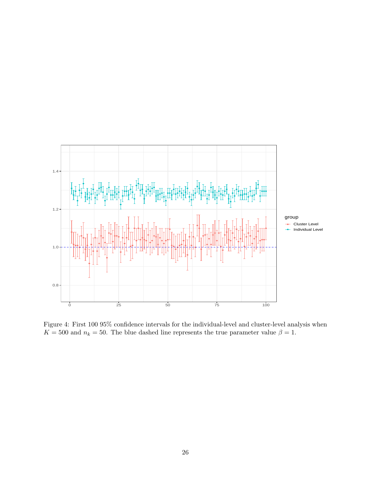<span id="page-51-0"></span>

Figure 4: First 100 95% confidence intervals for the individual-level and cluster-level analysis when  $K = 500$  and  $n_k = 50$ . The blue dashed line represents the true parameter value  $\beta = 1$ .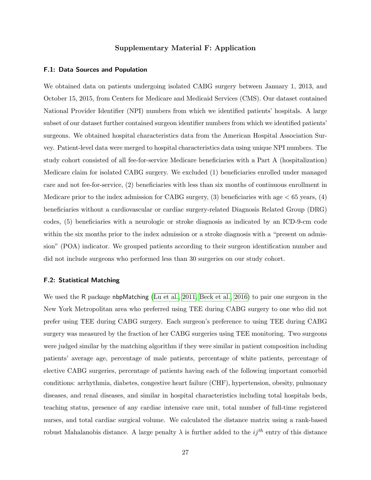## Supplementary Material F: Application

## F.1: Data Sources and Population

We obtained data on patients undergoing isolated CABG surgery between January 1, 2013, and October 15, 2015, from Centers for Medicare and Medicaid Services (CMS). Our dataset contained National Provider Identifier (NPI) numbers from which we identified patients' hospitals. A large subset of our dataset further contained surgeon identifier numbers from which we identified patients' surgeons. We obtained hospital characteristics data from the American Hospital Association Survey. Patient-level data were merged to hospital characteristics data using unique NPI numbers. The study cohort consisted of all fee-for-service Medicare beneficiaries with a Part A (hospitalization) Medicare claim for isolated CABG surgery. We excluded (1) beneficiaries enrolled under managed care and not fee-for-service, (2) beneficiaries with less than six months of continuous enrollment in Medicare prior to the index admission for CABG surgery,  $(3)$  beneficiaries with age  $\lt 65$  years,  $(4)$ beneficiaries without a cardiovascular or cardiac surgery-related Diagnosis Related Group (DRG) codes, (5) beneficiaries with a neurologic or stroke diagnosis as indicated by an ICD-9-cm code within the six months prior to the index admission or a stroke diagnosis with a "present on admission" (POA) indicator. We grouped patients according to their surgeon identification number and did not include surgeons who performed less than 30 surgeries on our study cohort.

## F.2: Statistical Matching

We used the R package nbpMatching [\(Lu et al., 2011,](#page-23-1) [Beck et al., 2016\)](#page-20-3) to pair one surgeon in the New York Metropolitan area who preferred using TEE during CABG surgery to one who did not prefer using TEE during CABG surgery. Each surgeon's preference to using TEE during CABG surgery was measured by the fraction of her CABG surgeries using TEE monitoring. Two surgeons were judged similar by the matching algorithm if they were similar in patient composition including patients' average age, percentage of male patients, percentage of white patients, percentage of elective CABG surgeries, percentage of patients having each of the following important comorbid conditions: arrhythmia, diabetes, congestive heart failure (CHF), hypertension, obesity, pulmonary diseases, and renal diseases, and similar in hospital characteristics including total hospitals beds, teaching status, presence of any cardiac intensive care unit, total number of full-time registered nurses, and total cardiac surgical volume. We calculated the distance matrix using a rank-based robust Mahalanobis distance. A large penalty  $\lambda$  is further added to the  $ij^{th}$  entry of this distance